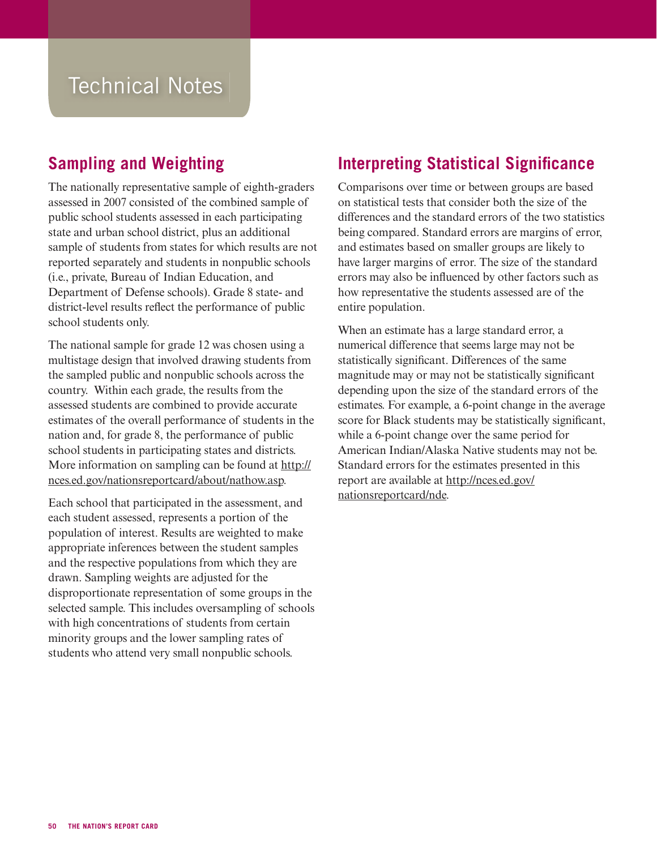## Technical Notes

## **Sampling and Weighting**

The nationally representative sample of eighth-graders assessed in 2007 consisted of the combined sample of public school students assessed in each participating state and urban school district, plus an additional sample of students from states for which results are not reported separately and students in nonpublic schools (i.e., private, Bureau of Indian Education, and Department of Defense schools). Grade 8 state- and district-level results reflect the performance of public school students only.

The national sample for grade 12 was chosen using a multistage design that involved drawing students from the sampled public and nonpublic schools across the country. Within each grade, the results from the assessed students are combined to provide accurate estimates of the overall performance of students in the nation and, for grade 8, the performance of public school students in participating states and districts. [More information on sampling can be found at http://](http://nces.ed.gov/nationsreportcard/about/nathow.asp) nces.ed.gov/nationsreportcard/about/nathow.asp.

Each school that participated in the assessment, and each student assessed, represents a portion of the population of interest. Results are weighted to make appropriate inferences between the student samples and the respective populations from which they are drawn. Sampling weights are adjusted for the disproportionate representation of some groups in the selected sample. This includes oversampling of schools with high concentrations of students from certain minority groups and the lower sampling rates of students who attend very small nonpublic schools.

## **Interpreting Statistical Significance**

Comparisons over time or between groups are based on statistical tests that consider both the size of the differences and the standard errors of the two statistics being compared. Standard errors are margins of error, and estimates based on smaller groups are likely to have larger margins of error. The size of the standard errors may also be influenced by other factors such as how representative the students assessed are of the entire population.

When an estimate has a large standard error, a numerical difference that seems large may not be statistically significant. Differences of the same magnitude may or may not be statistically significant depending upon the size of the standard errors of the estimates. For example, a 6-point change in the average score for Black students may be statistically significant, while a 6-point change over the same period for American Indian/Alaska Native students may not be. Standard errors for the estimates presented in this [report are available at http://nces.ed.gov/](http://nces.ed.gov/nationsreportcard/nde) nationsreportcard/nde.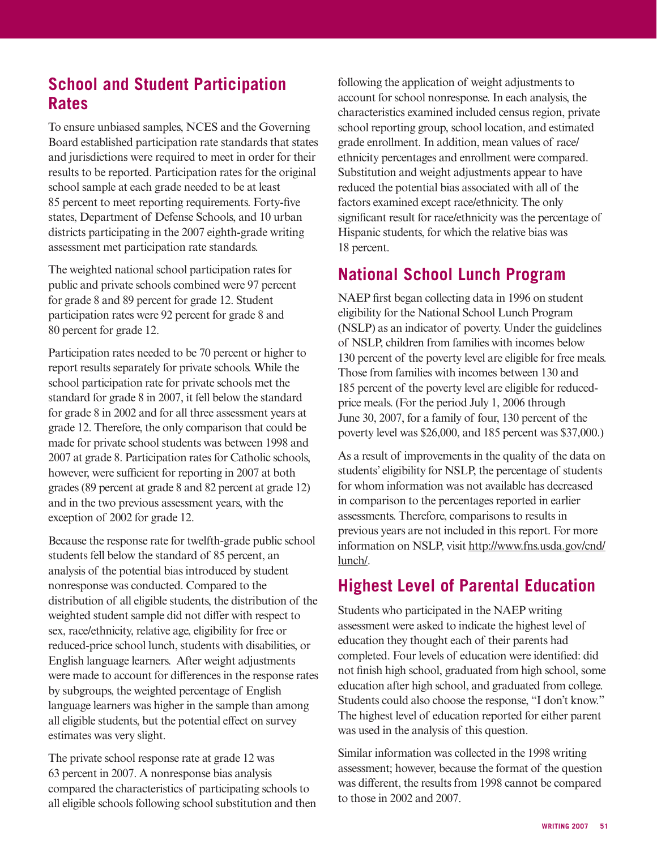## **School and Student Participation Rates**

To ensure unbiased samples, NCES and the Governing Board established participation rate standards that states and jurisdictions were required to meet in order for their results to be reported. Participation rates for the original school sample at each grade needed to be at least 85 percent to meet reporting requirements. Forty-five states, Department of Defense Schools, and 10 urban districts participating in the 2007 eighth-grade writing assessment met participation rate standards.

The weighted national school participation rates for public and private schools combined were 97 percent for grade 8 and 89 percent for grade 12. Student participation rates were 92 percent for grade 8 and 80 percent for grade 12.

Participation rates needed to be 70 percent or higher to report results separately for private schools. While the school participation rate for private schools met the standard for grade 8 in 2007, it fell below the standard for grade 8 in 2002 and for all three assessment years at grade 12. Therefore, the only comparison that could be made for private school students was between 1998 and 2007 at grade 8. Participation rates for Catholic schools, however, were sufficient for reporting in 2007 at both grades (89 percent at grade 8 and 82 percent at grade 12) and in the two previous assessment years, with the exception of 2002 for grade 12.

Because the response rate for twelfth-grade public school students fell below the standard of 85 percent, an analysis of the potential bias introduced by student nonresponse was conducted. Compared to the distribution of all eligible students, the distribution of the weighted student sample did not differ with respect to sex, race/ethnicity, relative age, eligibility for free or reduced-price school lunch, students with disabilities, or English language learners. After weight adjustments were made to account for differences in the response rates by subgroups, the weighted percentage of English language learners was higher in the sample than among all eligible students, but the potential effect on survey estimates was very slight.

The private school response rate at grade 12 was 63 percent in 2007. A nonresponse bias analysis compared the characteristics of participating schools to all eligible schools following school substitution and then following the application of weight adjustments to account for school nonresponse. In each analysis, the characteristics examined included census region, private school reporting group, school location, and estimated grade enrollment. In addition, mean values of race/ ethnicity percentages and enrollment were compared. Substitution and weight adjustments appear to have reduced the potential bias associated with all of the factors examined except race/ethnicity. The only significant result for race/ethnicity was the percentage of Hispanic students, for which the relative bias was 18 percent.

## **National School Lunch Program**

NAEP first began collecting data in 1996 on student eligibility for the National School Lunch Program (NSLP) as an indicator of poverty. Under the guidelines of NSLP, children from families with incomes below 130 percent of the poverty level are eligible for free meals. Those from families with incomes between 130 and 185 percent of the poverty level are eligible for reducedprice meals. (For the period July 1, 2006 through June 30, 2007, for a family of four, 130 percent of the poverty level was \$26,000, and 185 percent was \$37,000.)

As a result of improvements in the quality of the data on students' eligibility for NSLP, the percentage of students for whom information was not available has decreased in comparison to the percentages reported in earlier assessments. Therefore, comparisons to results in previous years are not included in this report. For more [information on NSLP, visit http://www.fns.usda.gov/cnd/](/transfer.asp?location=www.fns.usda.gov/cnd/lunch/) lunch/.

## **Highest Level of Parental Education**

Students who participated in the NAEP writing assessment were asked to indicate the highest level of education they thought each of their parents had completed. Four levels of education were identified: did not finish high school, graduated from high school, some education after high school, and graduated from college. Students could also choose the response, "I don't know." The highest level of education reported for either parent was used in the analysis of this question.

Similar information was collected in the 1998 writing assessment; however, because the format of the question was different, the results from 1998 cannot be compared to those in 2002 and 2007.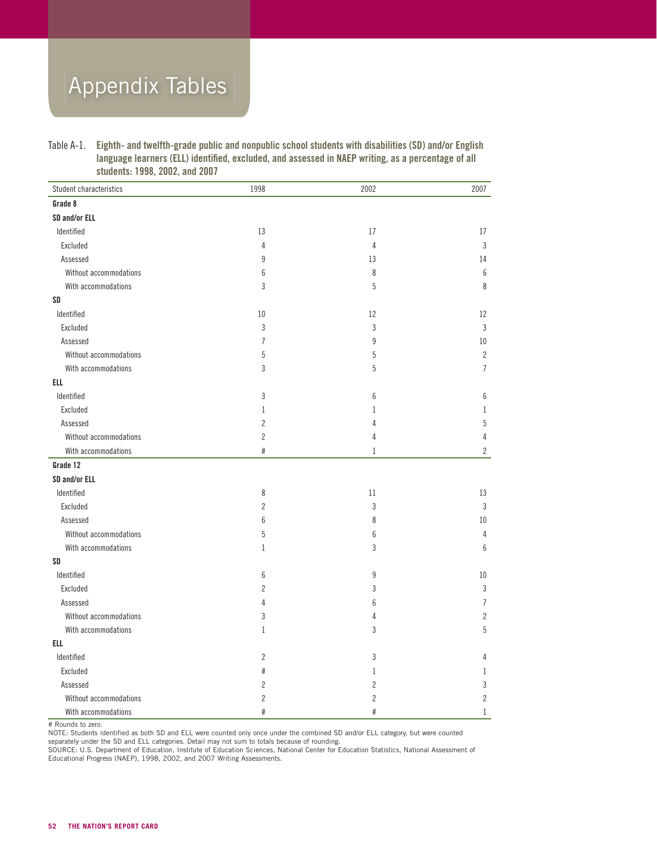## Appendix Tables

Table A-1. Eighth- and twelfth-grade public and nonpublic school students with disabilities (SD) and/or English language learners (ELL) identified, excluded, and assessed in NAEP writing, as a percentage of all students: 1998, 2002, and 2007

| Student characteristics | 1998           | 2002           | 2007           |
|-------------------------|----------------|----------------|----------------|
| Grade 8                 |                |                |                |
| SD and/or ELL           |                |                |                |
| Identified              | 13             | 17             | 17             |
| Excluded                | $\overline{4}$ | $\overline{4}$ | 3              |
| Assessed                | 9              | 13             | 14             |
| Without accommodations  | 6              | 8              | 6              |
| With accommodations     | 3              | 5              | 8              |
| SD                      |                |                |                |
| Identified              | 10             | 12             | 12             |
| Excluded                | 3              | 3              | 3              |
| Assessed                | $\overline{7}$ | 9              | 10             |
| Without accommodations  | 5              | 5              | $\overline{2}$ |
| With accommodations     | 3              | 5              | $\overline{7}$ |
| <b>ELL</b>              |                |                |                |
| Identified              | 3              | 6              | 6              |
| Excluded                | $\mathbf{1}$   | 1              | 1              |
| Assessed                | $\overline{2}$ | 4              | 5              |
| Without accommodations  | $\overline{c}$ | 4              | 4              |
| With accommodations     | $\#$           | $\mathbf{1}$   | 2              |
| Grade 12                |                |                |                |
| SD and/or ELL           |                |                |                |
| Identified              | 8              | 11             | 13             |
| Excluded                | $\overline{2}$ | 3              | 3              |
| Assessed                | 6              | 8              | 10             |
| Without accommodations  | 5              | 6              | 4              |
| With accommodations     | $\mathbf{1}$   | 3              | 6              |
| SD                      |                |                |                |
| Identified              | 6              | 9              | 10             |
| Excluded                | $\overline{c}$ | 3              | 3              |
| Assessed                | 4              | 6              | $\overline{7}$ |
| Without accommodations  | 3              | 4              | $\overline{2}$ |
| With accommodations     | $\mathbf{1}$   | 3              | 5              |
| ELL                     |                |                |                |
| Identified              | $\overline{2}$ | 3              | 4              |
| Excluded                | #              | 1              | 1              |
| Assessed                | $\overline{2}$ | 2              | 3              |
| Without accommodations  | $\overline{2}$ | 2              | $\overline{c}$ |
| With accommodations     | #              | #              | 1              |

# Rounds to zero.

NOTE: Students identified as both SD and ELL were counted only once under the combined SD and/or ELL category, but were counted separately under the SD and ELL categories. Detail may not sum to totals because of rounding.

SOURCE: U.S. Department of Education, Institute of Education Sciences, National Center for Education Statistics, National Assessment of Educational Progress (NAEP), 1998, 2002, and 2007 Writing Assessments.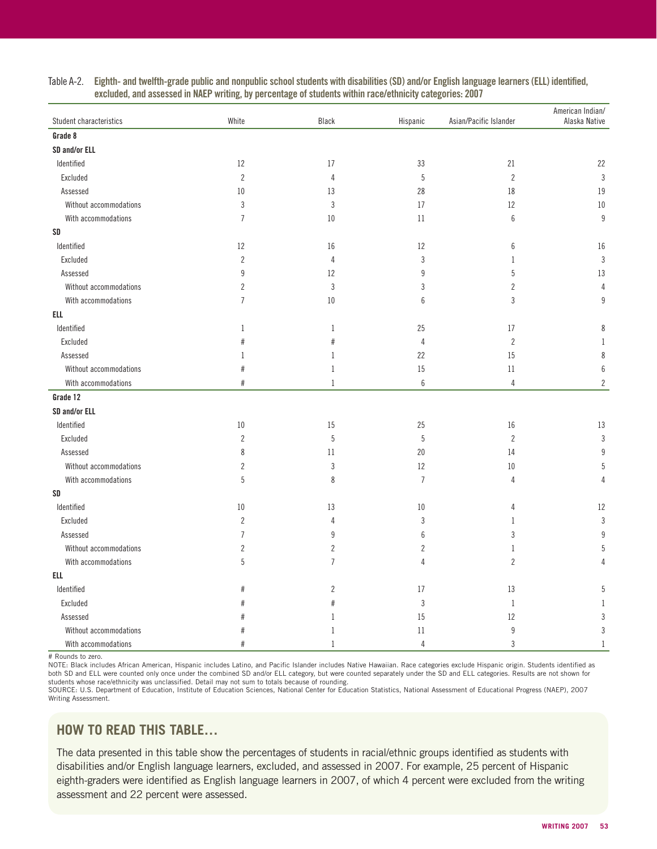| Student characteristics | White          | Black          | Hispanic         | Asian/Pacific Islander | American Indian/<br>Alaska Native |
|-------------------------|----------------|----------------|------------------|------------------------|-----------------------------------|
| Grade 8                 |                |                |                  |                        |                                   |
| SD and/or ELL           |                |                |                  |                        |                                   |
| Identified              | 12             | 17             | 33               | 21                     | 22                                |
| Excluded                | $\overline{c}$ | $\overline{4}$ | 5                | $\overline{2}$         | $\sqrt{3}$                        |
| Assessed                | 10             | 13             | 28               | 18                     | 19                                |
| Without accommodations  | 3              | 3              | 17               | 12                     | 10                                |
| With accommodations     | $\overline{7}$ | 10             | 11               | $6\,$                  | 9                                 |
| SD                      |                |                |                  |                        |                                   |
| Identified              | 12             | 16             | 12               | $6\,$                  | $16\,$                            |
| Excluded                | $\overline{c}$ | $\overline{4}$ | 3                | $\mathbf{1}$           | $\sqrt{3}$                        |
| Assessed                | 9              | 12             | $\boldsymbol{9}$ | 5                      | 13                                |
| Without accommodations  | $\overline{2}$ | 3              | 3                | $\overline{c}$         | $\overline{4}$                    |
| With accommodations     | $\overline{7}$ | 10             | 6                | 3                      | 9                                 |
| <b>ELL</b>              |                |                |                  |                        |                                   |
| Identified              | $\mathbf{1}$   | 1              | 25               | 17                     | 8                                 |
| Excluded                | #              | #              | $\overline{4}$   | $\sqrt{2}$             | $\mathbf{1}$                      |
| Assessed                | $\mathbf{1}$   | $\mathbf{1}$   | 22               | 15                     | 8                                 |
| Without accommodations  | #              | 1              | 15               | 11                     | $\boldsymbol{6}$                  |
| With accommodations     | #              | $\mathbf{1}$   | $\,6\,$          | $\overline{4}$         | $\overline{c}$                    |
| Grade 12                |                |                |                  |                        |                                   |
| SD and/or ELL           |                |                |                  |                        |                                   |
| Identified              | 10             | 15             | 25               | 16                     | 13                                |
| Excluded                | $\overline{2}$ | 5              | 5                | $\overline{2}$         | $\sqrt{3}$                        |
| Assessed                | 8              | 11             | 20               | 14                     | 9                                 |
| Without accommodations  | $\overline{2}$ | 3              | 12               | 10                     | 5                                 |
| With accommodations     | 5              | $\,8\,$        | $\overline{7}$   | $\sqrt{4}$             | 4                                 |
| SD                      |                |                |                  |                        |                                   |
| Identified              | 10             | 13             | 10               | 4                      | $12\,$                            |
| Excluded                | $\overline{c}$ | $\overline{4}$ | $\sqrt{3}$       | $\mathbf{1}$           | $\sqrt{3}$                        |
| Assessed                | $\overline{7}$ | 9              | 6                | 3                      | 9                                 |
| Without accommodations  | $\overline{c}$ | $\overline{c}$ | $\overline{c}$   | $\mathbf{1}$           | 5                                 |
| With accommodations     | 5              | $\overline{7}$ | 4                | $\overline{2}$         | 4                                 |
| <b>ELL</b>              |                |                |                  |                        |                                   |
| Identified              | #              | $\overline{2}$ | 17               | 13                     | 5                                 |
| Excluded                | #<br>#         |                | $\sqrt{3}$       | $\,1\,$                | 1                                 |
| Assessed                | #              | 1              | 15               | 12                     | 3                                 |
| Without accommodations  | #              | 1              | 11               | 9                      | 3                                 |
| With accommodations     | #              | $\mathbf{1}$   | $\overline{4}$   | 3                      | $\mathbf{1}$                      |

#### Table A-2. Eighth- and twelfth-grade public and nonpublic school students with disabilities (SD) and/or English language learners (ELL) identified, excluded, and assessed in NAEP writing, by percentage of students within race/ethnicity categories: 2007

# Rounds to zero.

NOTE: Black includes African American, Hispanic includes Latino, and Pacific Islander includes Native Hawaiian. Race categories exclude Hispanic origin. Students identified as both SD and ELL were counted only once under the combined SD and/or ELL category, but were counted separately under the SD and ELL categories. Results are not shown for students whose race/ethnicity was unclassified. Detail may not sum to totals because of rounding.

SOURCE: U.S. Department of Education, Institute of Education Sciences, National Center for Education Statistics, National Assessment of Educational Progress (NAEP), 2007 Writing Assessment.

### **HOW TO READ THIS TABLE…**

The data presented in this table show the percentages of students in racial/ethnic groups identified as students with disabilities and/or English language learners, excluded, and assessed in 2007. For example, 25 percent of Hispanic eighth-graders were identified as English language learners in 2007, of which 4 percent were excluded from the writing assessment and 22 percent were assessed.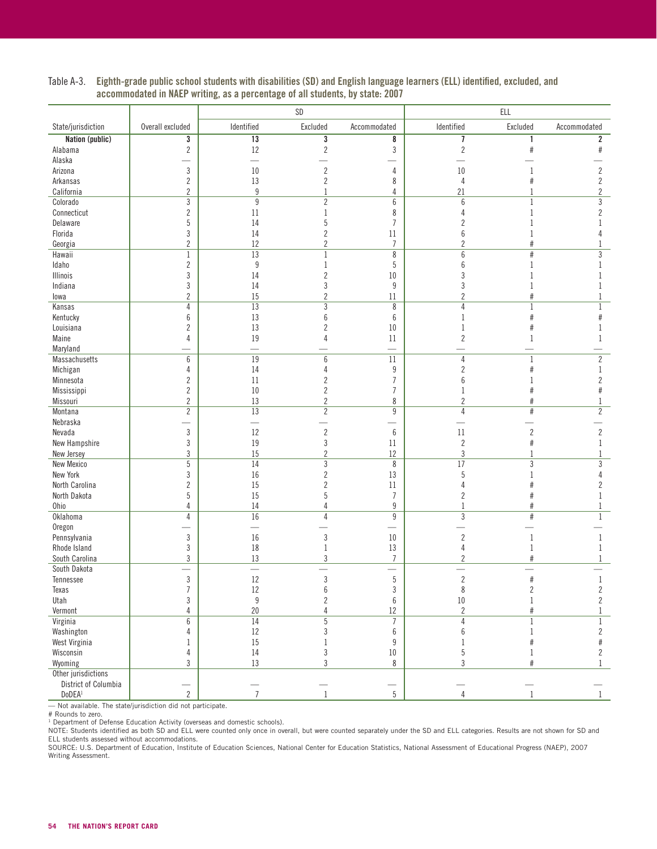|                        |                                  |                                | SD                               |                                            |                                  | ELL             |                                |
|------------------------|----------------------------------|--------------------------------|----------------------------------|--------------------------------------------|----------------------------------|-----------------|--------------------------------|
| State/jurisdiction     | Overall excluded                 | Identified                     | Excluded                         | Accommodated                               | Identified                       | Excluded        | Accommodated                   |
| <b>Nation (public)</b> | 3                                | 13                             | 3                                | 8                                          | 7                                | 1               | $\overline{\mathbf{2}}$        |
| Alabama                | $\sqrt{2}$                       | 12                             | $\overline{2}$                   | $\sqrt{3}$                                 | $\sqrt{2}$                       | $\#$            | $\#$                           |
| Alaska                 |                                  | $\overline{\phantom{0}}$       |                                  |                                            |                                  |                 |                                |
| Arizona                | $\sqrt{3}$                       | $10\,$                         | $\overline{2}$                   | 4                                          | $10\,$                           |                 | $\overline{2}$                 |
| Arkansas               | $\overline{2}$                   | 13                             | $\overline{2}$                   | 8                                          | 4                                |                 | $\overline{2}$                 |
| California             | $\overline{c}$                   | $\boldsymbol{9}$               | 1                                | $\overline{4}$                             | 21                               | 1               | $\overline{2}$                 |
| Colorado               | 3                                | $9\,$                          | $\overline{2}$                   | 6                                          | $6\phantom{1}6$                  | $\mathbf{1}$    | $\mathfrak{Z}$                 |
| Connecticut            | $\overline{c}$                   | 11                             | 1                                | 8                                          | 4                                | $\mathbf{1}$    | $\overline{c}$                 |
| Delaware               | 5                                | 14                             | 5                                | $\overline{7}$                             | $\overline{c}$                   |                 |                                |
| Florida                | 3                                | 14                             | $\overline{c}$                   | 11                                         | 6                                |                 |                                |
| Georgia                | $\overline{c}$                   | 12                             | $\overline{2}$                   | $\overline{7}$                             | $\overline{c}$                   | $\#$            |                                |
| Hawaii                 | $\mathbf 1$                      | 13                             | 1                                | $\overline{\bf 8}$                         | 6                                | $\#$            | 3                              |
| Idaho                  | $\overline{2}$                   | 9                              | 1                                | 5                                          | 6                                | 1               |                                |
| Illinois               | 3                                | 14                             | $\overline{2}$                   | 10                                         | 3                                |                 |                                |
| Indiana                | 3                                | 14                             | 3                                | 9                                          | 3                                |                 |                                |
| lowa                   | $\overline{c}$                   | 15                             | $\overline{2}$                   | 11                                         | $\overline{c}$                   | $\#$            |                                |
| Kansas                 | 4                                | $\overline{13}$                | 3                                | $\,8\,$                                    | 4                                | $\mathbf 1$     | 1                              |
| Kentucky               | 6                                | 13                             | $6\phantom{1}6$                  | 6                                          | 1                                | $\#$            | #                              |
| Louisiana              | $\overline{c}$                   | 13                             | $\overline{2}$                   | $10\,$                                     | 1                                | $\#$            | 1                              |
| Maine                  | 4                                | 19                             |                                  | 11                                         | $\overline{c}$                   | 1               | 1                              |
| Maryland               |                                  |                                |                                  |                                            |                                  |                 |                                |
| Massachusetts          | 6                                | 19                             | $6\phantom{1}6$                  | 11                                         | 4                                | $\mathbf 1$     | $\overline{2}$                 |
| Michigan               | 4                                | 14                             | 4                                | $\boldsymbol{9}$                           | $\overline{c}$                   | $\#$            | 1                              |
| Minnesota              | $\overline{c}$                   | 11                             | $\overline{2}$                   | $\overline{7}$                             | 6                                |                 | $\overline{c}$                 |
| Mississippi            | $\sqrt{2}$                       | 10                             | $\overline{c}$                   | $\overline{7}$                             |                                  | #               | #                              |
| Missouri               | $\overline{2}$                   | 13                             | $\overline{c}$                   | 8                                          | $\overline{c}$                   | $\#$            |                                |
| Montana                | $\overline{2}$                   | 13                             | $\overline{2}$                   | $\overline{9}$                             | $\overline{4}$                   | $\overline{\#}$ | $\overline{2}$                 |
| Nebraska               |                                  | $\equiv$                       |                                  |                                            |                                  |                 |                                |
| Nevada                 | $\sqrt{3}$                       | 12                             | $\overline{c}$                   | 6                                          | 11                               | $\sqrt{2}$      | $\overline{2}$                 |
| New Hampshire          | $\sqrt{3}$                       | 19                             | 3                                | 11                                         | $\overline{c}$                   | $\#$            | 1                              |
| New Jersey             | 3                                | 15                             | $\overline{2}$                   | 12                                         | 3                                | 1               |                                |
| <b>New Mexico</b>      | 5                                | 14                             | 3                                | 8                                          | 17                               | 3               | 3                              |
| New York               | 3                                | 16                             | $\overline{c}$                   | 13                                         | 5                                | 1               | 4                              |
| North Carolina         | $\overline{c}$                   | 15                             | $\overline{2}$                   | 11                                         | Δ                                | #               | 2                              |
| North Dakota           | 5                                | 15                             | 5                                | $\overline{7}$                             | 2                                | #               |                                |
| Ohio                   | $\overline{4}$                   | 14                             | $\overline{4}$                   | 9                                          | $\mathbf{1}$                     | $\#$            | 1                              |
| Oklahoma               | 4                                | 16                             | $\overline{4}$                   | $\boldsymbol{9}$                           | 3                                | $\#$            | $\mathbf{1}$                   |
| Oregon                 |                                  | $\overline{\phantom{0}}$       |                                  | $\overline{\phantom{0}}$                   |                                  |                 |                                |
| Pennsylvania           | $\sqrt{3}$                       | $16\,$                         | 3                                | $10\,$                                     | $\overline{c}$                   | 1               | 1                              |
| Rhode Island           | $\sqrt{3}$                       | 18                             | 1                                | 13                                         | 4                                | 1               | 1                              |
| South Carolina         | 3                                | 13<br>$\overline{\phantom{0}}$ | 3                                | $\overline{I}$                             | 2                                | $\#$            | 1                              |
| South Dakota           | 3                                |                                | 3                                | $\overline{\phantom{0}}$                   |                                  | #               |                                |
| Tennessee              |                                  | 12                             |                                  | $\overline{5}$                             | $\overline{2}$                   |                 | $\mathbf{1}$                   |
| Texas                  | $\overline{7}$                   | $12\,$<br>$\boldsymbol{9}$     | $\boldsymbol{6}$                 | 3<br>$\boldsymbol{6}$                      | 8                                | $\sqrt{2}$      | $\mathbf{2}$<br>$\overline{2}$ |
| Utah                   | $\sqrt{3}$                       |                                | $\overline{2}$                   |                                            | $10\,$                           | $\mathbf{1}$    |                                |
| Vermont<br>Virginia    | $\overline{4}$<br>$\overline{6}$ | $20\,$<br>$\overline{14}$      | $\overline{4}$<br>$\overline{5}$ | $12\,$<br>$\overline{7}$                   | $\overline{2}$<br>$\overline{4}$ | $\#$            | $\mathbf{1}$                   |
|                        |                                  | $12\,$                         |                                  |                                            |                                  | $\mathbf{1}$    | $\mathbf{1}$                   |
| Washington             | 4                                |                                | 3                                | 6                                          | 6                                | $\mathbf{1}$    | $\overline{2}$                 |
| West Virginia          | $\mathbf{1}$                     | $15\,$                         | $\mathbf{1}$                     | $\boldsymbol{9}$                           | $\mathbf{1}$                     | $\#$            | $\#$                           |
| Wisconsin              | $\sqrt{4}$                       | 14                             | $\sqrt{3}$                       | $10\,$                                     | 5                                | $\mathbf{1}$    | $\overline{c}$                 |
| Wyoming                | 3                                | $13\,$                         | 3                                | 8                                          | 3                                | $\#$            | $1\,$                          |
| Other jurisdictions    |                                  |                                |                                  |                                            |                                  |                 |                                |
| District of Columbia   |                                  | $\overline{7}$                 |                                  | $\overline{\phantom{0}}$<br>$\overline{5}$ | $\overline{4}$                   |                 | $\mathbf{1}$                   |
| DoDEA <sup>1</sup>     | $\overline{2}$                   |                                |                                  |                                            |                                  |                 |                                |

Table A-3. Eighth-grade public school students with disabilities (SD) and English language learners (ELL) identified, excluded, and accommodated in NAEP writing, as a percentage of all students, by state: 2007

— Not available. The state/jurisdiction did not participate. # Rounds to zero.

<sup>1</sup> Department of Defense Education Activity (overseas and domestic schools).<br>NOTE: Students identified as both SD and ELL were counted only once in overall, but were counted separately under the SD and ELL categories. Res ELL students assessed without accommodations.

SOURCE: U.S. Department of Education, Institute of Education Sciences, National Center for Education Statistics, National Assessment of Educational Progress (NAEP), 2007 Writing Assessment.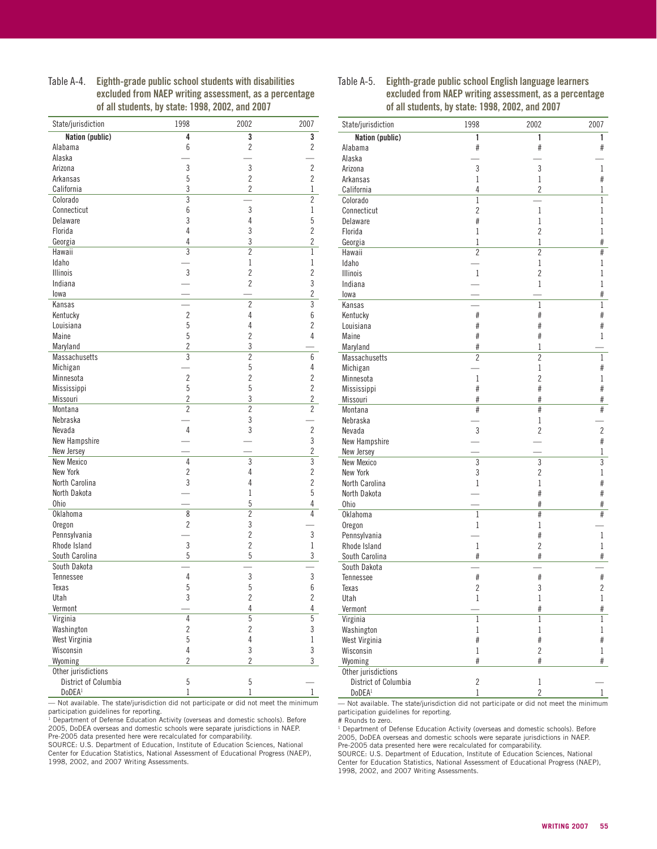Table A-4. Eighth-grade public school students with disabilities excluded from NAEP writing assessment, as a percentage of all students, by state: 1998, 2002, and 2007

| State/jurisdiction   | 1998           | 2002                    | 2007           |
|----------------------|----------------|-------------------------|----------------|
| Nation (public)      | 4              | $\overline{\mathbf{3}}$ | 3              |
| Alabama              | 6              | $\overline{c}$          | $\overline{2}$ |
| Alaska               |                |                         |                |
| Arizona              | 3              | $\mathfrak{z}$          | $\overline{2}$ |
| Arkansas             | $\overline{5}$ | $\overline{2}$          | $\overline{2}$ |
| California           | 3              | $\overline{c}$          | 1              |
| Colorado             | $\overline{3}$ |                         | $\overline{c}$ |
| Connecticut          | 6              | $\mathfrak{z}$          | $\mathbf 1$    |
| Delaware             | 3              | 4                       | 5              |
| Florida              | 4              | 3                       | $\overline{c}$ |
| Georgia              | 4              | 3                       | $\overline{c}$ |
| Hawaii               | $\overline{3}$ | $\overline{c}$          | $\,1$          |
| Idaho                |                | 1                       | 1              |
| <b>Illinois</b>      | 3              | $\overline{c}$          | $\overline{c}$ |
| Indiana              |                | $\overline{2}$          | 3              |
| lowa                 |                |                         | $\overline{c}$ |
| Kansas               |                | $\overline{2}$          | $\overline{3}$ |
| Kentucky             | $\overline{c}$ | 4                       | 6              |
| Louisiana            | 5              | $\overline{4}$          | $\overline{c}$ |
| Maine                | 5              | $\overline{c}$          | 4              |
| Maryland             | $\overline{c}$ | 3                       |                |
| Massachusetts        | $\overline{3}$ | $\overline{2}$          | 6              |
|                      |                |                         |                |
| Michigan             |                | 5                       | 4              |
| Minnesota            | $\overline{c}$ | $\overline{2}$          | $\overline{c}$ |
| Mississippi          | 5              | 5                       | $\overline{c}$ |
| Missouri             | $\overline{c}$ | 3                       | $\overline{c}$ |
| Montana              | $\overline{2}$ | $\overline{2}$          | $\overline{c}$ |
| Nebraska             |                | 3                       |                |
| Nevada               | 4              | 3                       | $\overline{2}$ |
| New Hampshire        |                |                         | 3              |
| New Jersey           |                |                         | $\overline{c}$ |
| New Mexico           | $\overline{4}$ | $\overline{3}$          | $\overline{3}$ |
| New York             | $\overline{2}$ | 4                       | $\overline{2}$ |
| North Carolina       | 3              | 4                       | $\overline{c}$ |
| North Dakota         |                | $\mathbf 1$             | 5              |
| Ohio                 |                | 5                       | 4              |
| Oklahoma             | 8              | $\overline{c}$          | 4              |
| Oregon               | $\overline{2}$ | 3                       |                |
| Pennsylvania         |                | $\overline{c}$          | 3              |
| Rhode Island         | 3              | $\overline{c}$          | $1\,$          |
| South Carolina       | 5              | 5                       | 3              |
| South Dakota         |                |                         |                |
| Tennessee            | $\sqrt{4}$     | 3                       | 3              |
| Texas                | 5              | 5                       | 6              |
| Utah                 | 3              | $\overline{c}$          | $\overline{c}$ |
| Vermont              |                | 4                       |                |
| Virginia             | $\overline{4}$ | $\overline{5}$          | $\frac{4}{5}$  |
| Washington           | $\overline{c}$ | $\overline{2}$          | 3              |
| West Virginia        | 5              | $\overline{4}$          | $\,1$          |
| Wisconsin            | $\sqrt{4}$     | 3                       | 3              |
| Wyoming              | $\overline{2}$ | $\overline{2}$          | 3              |
| Other jurisdictions  |                |                         |                |
| District of Columbia | $\overline{5}$ | 5                       |                |
| DoDEA <sup>1</sup>   | 1              | 1                       | $\mathbf{1}$   |
|                      |                |                         |                |

— Not available. The state/jurisdiction did not participate or did not meet the minimum participation guidelines for reporting.

 $1$  Department of Defense Education Activity (overseas and domestic schools). Before 2005, DoDEA overseas and domestic schools were separate jurisdictions in NAEP. Pre-2005 data presented here were recalculated for comparability.

SOURCE: U.S. Department of Education, Institute of Education Sciences, National Center for Education Statistics, National Assessment of Educational Progress (NAEP), 1998, 2002, and 2007 Writing Assessments.

#### Table A-5. Eighth-grade public school English language learners excluded from NAEP writing assessment, as a percentage of all students, by state: 1998, 2002, and 2007

| State/jurisdiction     | 1998           | 2002           | 2007           |
|------------------------|----------------|----------------|----------------|
| <b>Nation (public)</b> | 1              | 1              | 1              |
| Alabama                | #              | #              | #              |
| Alaska                 |                |                |                |
| Arizona                | 3              | 3              | 1              |
| Arkansas               | 1              | 1              | #              |
| California             | 4              | $\overline{2}$ | 1              |
| Colorado               | 1              |                | 1              |
| Connecticut            | $\overline{2}$ | $\mathbf{1}$   | 1              |
| Delaware               | #              | 1              | 1              |
| Florida                | 1              | $\overline{c}$ | 1              |
| Georgia                | 1              | $\mathbf 1$    | #              |
| Hawaii                 | $\overline{c}$ | $\overline{2}$ | #              |
| Idaho                  |                | 1              | 1              |
| <b>Illinois</b>        | 1              | $\overline{c}$ | 1              |
| Indiana                |                | $\mathbf{1}$   | 1              |
| lowa                   |                |                | #              |
| Kansas                 |                | $\mathbf{1}$   | 1              |
| Kentucky               | #              | #              | #              |
| Louisiana              | #              | #              | #              |
| Maine                  | #              | #              | 1              |
| Maryland               | #              | 1              |                |
| Massachusetts          | 2              | $\overline{2}$ | 1              |
| Michigan               |                | $\mathbf{1}$   | #              |
| Minnesota              | 1              | $\overline{2}$ | 1              |
| Mississippi            | #              | #              | #              |
| Missouri               | #              | #              | #              |
| Montana                | #              | #              | #              |
| Nebraska               |                | 1              |                |
| Nevada                 | 3              | $\overline{2}$ | $\overline{2}$ |
| New Hampshire          |                |                | #              |
| New Jersey             |                |                | 1              |
| New Mexico             | 3              | 3              | 3              |
| New York               | 3              | $\overline{2}$ | 1              |
| North Carolina         | 1              | $\mathbf 1$    | #              |
| North Dakota           |                | #              | #              |
| Ohio                   |                | #              | #              |
| <b>Oklahoma</b>        | $\mathbf{1}$   | #              | #              |
| Oregon                 | $\mathbf 1$    | 1              |                |
| Pennsylvania           |                | #              | 1              |
| Rhode Island           | $\mathbf 1$    | $\overline{2}$ | 1              |
| South Carolina         | #              | #              | #              |
| South Dakota           |                |                |                |
| <b>Tennessee</b>       | #              | #              | #              |
| Texas                  | $\overline{c}$ | 3              | $\overline{c}$ |
| Utah                   | 1              | $\mathbf 1$    | $\mathbf 1$    |
| Vermont                |                | #              | $\#$           |
| Virginia               | 1              | $\mathbf{1}$   | 1              |
| Washington             | $\,1$          | $\mathbf{1}$   | 1              |
| West Virginia          | $\#$           | $\#$           | $\#$           |
| Wisconsin              | $\mathbf 1$    | $\overline{c}$ | 1              |
| Wyoming                | #              | $\#$           | #              |
| Other jurisdictions    |                |                |                |
| District of Columbia   | $\overline{c}$ | $\,1$          |                |
| DoDEA <sup>1</sup>     | $\,1$          | $\overline{c}$ | $\mathbf 1$    |

— Not available. The state/jurisdiction did not participate or did not meet the minimum participation guidelines for reporting. # Rounds to zero.

<sup>1</sup> Department of Defense Education Activity (overseas and domestic schools). Before 2005, DoDEA overseas and domestic schools were separate jurisdictions in NAEP. Pre-2005 data presented here were recalculated for comparability.

SOURCE: U.S. Department of Education, Institute of Education Sciences, National Center for Education Statistics, National Assessment of Educational Progress (NAEP), 1998, 2002, and 2007 Writing Assessments.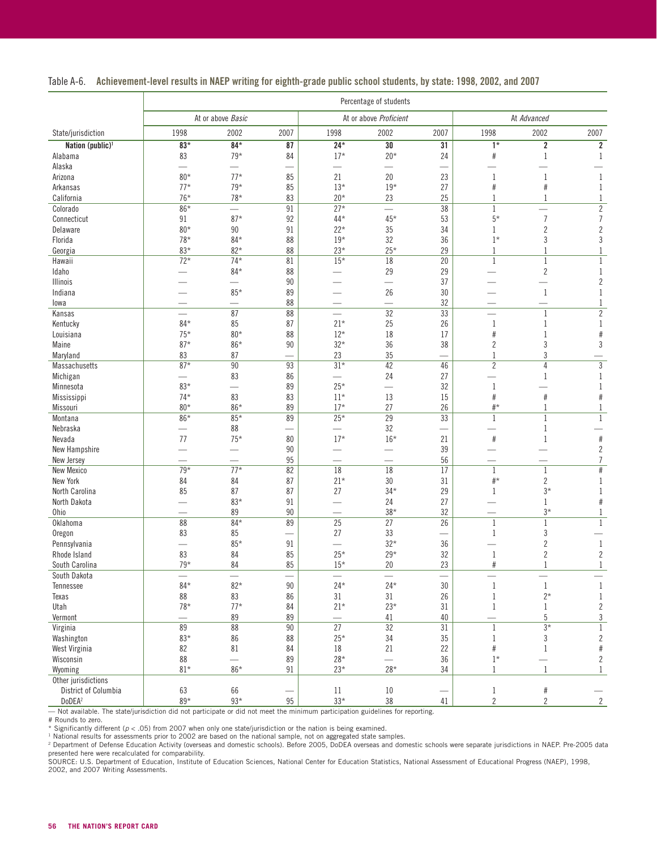|  | Table A-6. Achievement-level results in NAEP writing for eighth-grade public school students, by state: 1998, 2002, and 2007 |  |  |  |  |  |  |  |
|--|------------------------------------------------------------------------------------------------------------------------------|--|--|--|--|--|--|--|
|--|------------------------------------------------------------------------------------------------------------------------------|--|--|--|--|--|--|--|

|                              | Percentage of students   |                   |                          |                          |                          |      |                          |                |                |  |
|------------------------------|--------------------------|-------------------|--------------------------|--------------------------|--------------------------|------|--------------------------|----------------|----------------|--|
|                              |                          | At or above Basic |                          | At or above Proficient   |                          |      | At Advanced              |                |                |  |
| State/jurisdiction           | 1998                     | 2002              | 2007                     | 1998                     | 2002                     | 2007 | 1998                     | 2002           | 2007           |  |
| Nation (public) <sup>1</sup> | $83*$                    | $84*$             | 87                       | $24*$                    | 30                       | 31   | $1*$                     | $\overline{2}$ | $\overline{2}$ |  |
| Alabama                      | 83                       | $79*$             | 84                       | $17*$                    | $20*$                    | 24   | $\#$                     | $\mathbf{1}$   | 1              |  |
| Alaska                       | $\overline{\phantom{0}}$ |                   | $\overline{\phantom{0}}$ | $\overline{\phantom{0}}$ | $\overline{\phantom{0}}$ |      |                          |                |                |  |
| Arizona                      | $80*$                    | $77*$             | 85                       | 21                       | 20                       | 23   | 1                        | 1              | 1              |  |
| Arkansas                     | $77*$                    | $79*$             | 85                       | $13*$                    | $19*$                    | 27   | #                        | #              | 1              |  |
| California                   | $76*$                    | $78*$             | 83                       | $20*$                    | 23                       | 25   |                          | $\mathbf{1}$   | 1              |  |
| Colorado                     | 86*                      |                   | 91                       | $27*$                    | $\equiv$                 | 38   | 1                        |                | $\overline{2}$ |  |
| Connecticut                  | 91                       | $87*$             | 92                       | 44*                      | $45*$                    | 53   | $5*$                     | $\overline{7}$ | $\overline{7}$ |  |
| Delaware                     | $80*$                    | 90                | 91                       | $22*$                    | 35                       | 34   | 1                        | $\overline{c}$ | $\overline{2}$ |  |
| Florida                      | $78*$                    | $84*$             | 88                       | $19*$                    | 32                       | 36   | $1*$                     | 3              | $\mathfrak{Z}$ |  |
| Georgia                      | $83*$                    | $82*$             | 88                       | $23*$                    | $25*$                    | 29   | 1                        | 1              | $\mathbf{1}$   |  |
| Hawaii                       | $72*$                    | $74*$             | 81                       | $15*$                    | $\overline{18}$          | 20   | $\mathbf{1}$             | $\mathbf{1}$   | $\mathbf{1}$   |  |
| Idaho                        |                          | $84*$             | 88                       |                          | 29                       | 29   |                          | $\sqrt{2}$     | 1              |  |
| <b>Illinois</b>              |                          |                   | 90                       |                          |                          | 37   |                          |                | $\overline{2}$ |  |
| Indiana                      |                          | $85*$             | 89                       |                          | 26                       | 30   |                          | 1              | 1              |  |
| lowa                         |                          |                   | 88                       |                          |                          | 32   |                          |                | 1              |  |
| Kansas                       | $\overline{\phantom{0}}$ | 87                | 88                       | $\overline{\phantom{0}}$ | $\overline{32}$          | 33   | $\overline{\phantom{0}}$ | $\mathbf{1}$   | $\overline{2}$ |  |
| Kentucky                     | $84*$                    | 85                | 87                       | $21*$                    | 25                       | 26   | $\mathbf{1}$             | $\mathbf{1}$   | $\mathbf{1}$   |  |
| Louisiana                    | $75*$                    | $80*$             | 88                       | $12*$                    | 18                       | 17   | $\#$                     | 1              | $\#$           |  |
| Maine                        | $87*$                    | $86*$             | 90                       | $32*$                    | 36                       | 38   | $\overline{2}$           | 3              | 3              |  |
| Maryland                     | 83                       | 87                |                          | 23                       | 35                       |      | 1                        | 3              |                |  |
| <b>Massachusetts</b>         | $87*$                    | 90                | 93                       | $31*$                    | 42                       | 46   | $\overline{2}$           | $\overline{4}$ | $\sqrt{3}$     |  |
| Michigan                     | $\mathcal{L}$            | 83                | 86                       | $\overline{\phantom{0}}$ | 24                       | 27   |                          | 1              | 1              |  |
| Minnesota                    | $83*$                    | $\equiv$          | 89                       | $25*$                    | $\overline{\phantom{0}}$ | 32   | 1                        |                | $\mathbf{1}$   |  |
| Mississippi                  | $74*$                    | 83                | 83                       | $11*$                    | 13                       | 15   | #                        | #              | #              |  |
| Missouri                     | $80*$                    | 86*               | 89                       | $17*$                    | 27                       | 26   | $\#^{\star}$             | $\mathbf{1}$   | $\mathbf{1}$   |  |
| Montana                      | 86*                      | $85*$             | 89                       | $25*$                    | $\overline{29}$          | 33   | 1                        | $\mathbf{1}$   | $\mathbf{1}$   |  |
| Nebraska                     |                          | 88                |                          |                          | 32                       |      |                          | 1              |                |  |
| Nevada                       | 77                       | $75*$             | 80                       | $17*$                    | $16*$                    | 21   | #                        | 1              | $#$            |  |
| New Hampshire                |                          |                   | 90                       |                          |                          | 39   |                          |                | $\overline{c}$ |  |
| New Jersey                   |                          |                   | $95\,$                   |                          |                          | 56   |                          |                | $\overline{7}$ |  |
| <b>New Mexico</b>            | $79*$                    | $77*$             | 82                       | $\overline{18}$          | 18                       | 17   | $\mathbf{1}$             | $\mathbf{1}$   | $\#$           |  |
| New York                     | 84                       | 84                | 87                       | $21*$                    | 30                       | 31   | $\#^{\star}$             | $\overline{2}$ | 1              |  |
| North Carolina               | 85                       | 87                | 87                       | 27                       | $34*$                    | 29   | 1                        | $3*$           | $\mathbf{1}$   |  |
| North Dakota                 |                          | $83*$             | 91                       |                          | 24                       | 27   |                          | 1              | #              |  |
| <b>Ohio</b>                  |                          | 89                | $90\,$                   |                          | $38*$                    | 32   |                          | $3*$           | 1              |  |
| Oklahoma                     | 88                       | $84*$             | 89                       | $\overline{25}$          | 27                       | 26   | $\mathbf 1$              | $\mathbf{1}$   | $\mathbf{1}$   |  |
| Oregon                       | 83                       | 85                | $\overline{\phantom{0}}$ | 27                       | 33                       |      | 1                        | 3              |                |  |
| Pennsylvania                 |                          | $85*$             | 91                       |                          | $32*$                    | 36   |                          | $\overline{2}$ | 1              |  |
| Rhode Island                 | 83                       | 84                | 85                       | $25*$                    | $29*$                    | 32   | $\mathbf{1}$             | $\overline{c}$ | $\overline{c}$ |  |
| South Carolina               | $79*$                    | 84                | 85                       | $15*$                    | 20                       | 23   | #                        | $\mathbf{1}$   | $\mathbf{1}$   |  |
| South Dakota                 |                          |                   |                          |                          |                          |      |                          |                |                |  |
| <b>Tennessee</b>             | $84*$                    | $82*$             | $90\,$                   | $24*$                    | $24*$                    | 30   | $\,1\,$                  | $\mathbf{1}$   | $\mathbf{1}$   |  |
| Texas                        | 88                       | 83                | 86                       | 31                       | 31                       | 26   | $\mathbf{1}$             | $2^\star$      | $\mathbf{1}$   |  |
| Utah                         | $78*$                    | $77*$             | 84                       | $21*$                    | $23*$                    | 31   | $\mathbf{1}$             | $\mathbf{1}$   | $\overline{c}$ |  |
| Vermont                      | $\overline{\phantom{0}}$ | 89                | 89                       |                          | 41                       | 40   | $\overline{\phantom{0}}$ | 5              | $\sqrt{3}$     |  |
| Virginia                     | 89                       | $\overline{88}$   | 90                       | 27                       | $\overline{32}$          | 31   | $\mathbf{1}$             | $3*$           | $\mathbf{1}$   |  |
| Washington                   | 83*                      | 86                | 88                       | $25*$                    | 34                       | 35   | $\mathbf 1$              | 3              | $\sqrt{2}$     |  |
| West Virginia                | 82                       | 81                | 84                       | 18                       | 21                       | 22   | $\#$                     | 1              | $\#$           |  |
| Wisconsin                    | 88                       | $\equiv$          | 89                       | $28*$                    | $\equiv$                 | 36   | $1*$                     |                | $\sqrt{2}$     |  |
| Wyoming                      | $81*$                    | $86*$             | $91\,$                   | $23^{\star}$             | $28*$                    | 34   | $\mathbf{1}$             | $\mathbf{1}$   | $\mathbf{1}$   |  |
| Other jurisdictions          |                          |                   |                          |                          |                          |      |                          |                |                |  |
| District of Columbia         | 63                       | 66                | —                        | 11                       | 10                       | —    | $\mathbf 1$              | $\#$           |                |  |
| DoDEA <sup>2</sup>           | $89*$                    | $93*$             | $95\,$                   | $33*$                    | 38                       | 41   | $\overline{2}$           | $\overline{c}$ | $\overline{2}$ |  |

— Not available. The state/jurisdiction did not participate or did not meet the minimum participation guidelines for reporting. # Rounds to zero.

\* Significantly different (p < .05) from 2007 when only one state/jurisdiction or the nation is being examined.<br><sup>1</sup> National results for assessments prior to 2002 are based on the national sample, not on aggregated state s

2002, and 2007 Writing Assessments.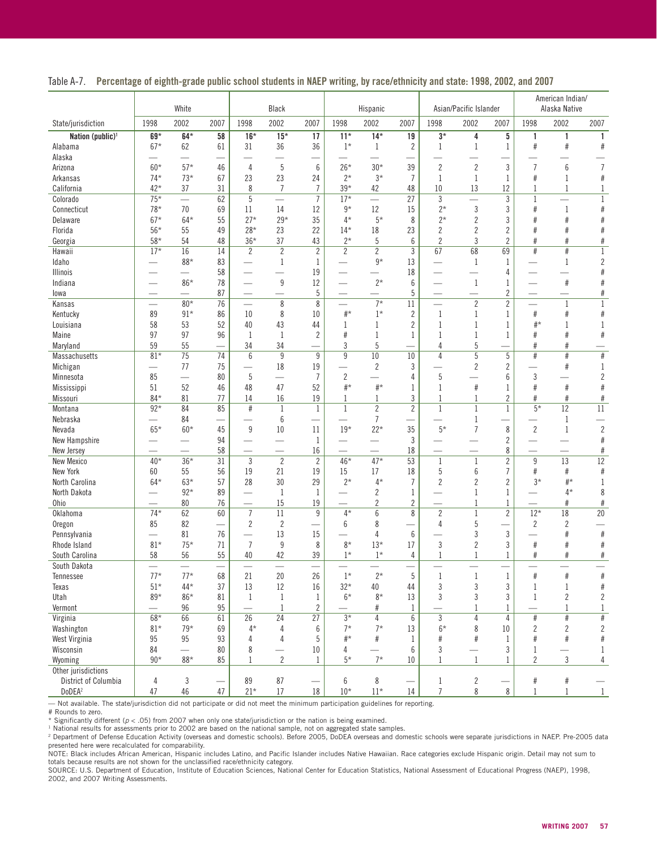|                      |                          | White                    |                                      |                          | Black                    |                                |                          | Hispanic                 |                                  |                          | Asian/Pacific Islander   |                      |                          | American Indian/<br>Alaska Native |                        |
|----------------------|--------------------------|--------------------------|--------------------------------------|--------------------------|--------------------------|--------------------------------|--------------------------|--------------------------|----------------------------------|--------------------------|--------------------------|----------------------|--------------------------|-----------------------------------|------------------------|
| State/jurisdiction   | 1998                     | 2002                     | 2007                                 | 1998                     | 2002                     | 2007                           | 1998                     | 2002                     | 2007                             | 1998                     | 2002                     | 2007                 | 1998                     | 2002                              | 2007                   |
| Nation (public) $1$  | 69*                      | $64*$                    | 58                                   | $16*$                    | $15*$                    | 17                             | $11*$                    | $14*$                    | 19                               | $3*$                     | 4                        | 5                    | 1                        | 1                                 | 1                      |
| Alabama              | $67*$                    | 62                       | 61                                   | 31                       | 36                       | 36                             | $1*$                     | 1                        | $\overline{c}$                   | 1                        | $\mathbf{1}$             | 1                    | $\#$                     | #                                 | $\#$                   |
| Alaska               |                          |                          |                                      |                          |                          |                                |                          |                          |                                  |                          |                          |                      |                          |                                   |                        |
| Arizona              | $60*$                    | $57*$                    | 46                                   | $\overline{4}$           | $\overline{5}$           | $6\phantom{1}$                 | $26*$                    | $30*$                    | 39                               | $\overline{c}$           | $\overline{c}$           | 3                    | $\overline{7}$           | 6                                 | $\overline{1}$         |
| Arkansas             | $74*$                    | $73*$                    | 67                                   | 23                       | 23                       | 24                             | $2*$                     | $3*$                     | $\overline{7}$                   | 1                        | $\mathbf{1}$             | 1                    | #                        | 1                                 | #                      |
| California           | $42*$                    | 37                       | 31                                   | 8                        | $\overline{7}$           | $\overline{7}$                 | $39*$                    | 42                       | 48                               | 10                       | 13                       | 12                   | 1                        | 1                                 | $\mathbf 1$            |
| Colorado             | $75*$                    | $\overline{\phantom{0}}$ | 62                                   | 5                        | $\overline{\phantom{0}}$ | $\overline{7}$                 | $17*$                    | $\equiv$                 | 27                               | $\mathfrak{Z}$           | $\overline{\phantom{0}}$ | 3                    | $\mathbf{1}$             |                                   | $1\,$                  |
| Connecticut          | $78*$                    | 70                       | 69                                   | 11                       | 14                       | 12                             | $9*$                     | $12\,$                   | 15                               | $2*$                     | $\mathfrak{z}$           | 3                    | #                        | $1\,$                             | $\#$                   |
| Delaware             | $67*$                    | $64*$                    | 55                                   | $27*$                    | $29*$                    | 35                             | $4*$                     | $5*$                     | 8                                | $2*$                     | $\overline{2}$           | 3                    | #                        | #                                 | $\#$                   |
| Florida              | $56*$                    | 55                       | 49                                   | $28*$<br>$36*$           | 23<br>37                 | 22                             | $14*$                    | 18                       | 23                               | 2                        | $\overline{2}$<br>3      | 2                    | #<br>#                   | #<br>#                            | $\#$                   |
| Georgia<br>Hawaii    | $58*$<br>$17*$           | 54<br>16                 | 48<br>14                             | $\overline{2}$           | $\overline{2}$           | 43<br>$\overline{2}$           | $2*$<br>$\overline{2}$   | 5<br>$\overline{2}$      | $6\phantom{1}$<br>$\mathfrak{Z}$ | $\overline{2}$<br>67     | 68                       | $\overline{2}$<br>69 | #                        | $\#$                              | #<br>$\mathbf 1$       |
| Idaho                | $\overline{\phantom{0}}$ | $88*$                    | 83                                   | L.                       | $\mathbf{1}$             | $\mathbf{1}$                   | $\overline{\phantom{0}}$ | $9*$                     | 13                               | $\overline{\phantom{0}}$ | $\mathbf{1}$             | 1                    |                          | $\mathbf{1}$                      | $\overline{c}$         |
| <b>Illinois</b>      |                          | $\overline{\phantom{0}}$ | 58                                   |                          |                          | 19                             |                          | $\equiv$                 | 18                               |                          |                          | 4                    |                          |                                   | $\#$                   |
| Indiana              |                          | 86*                      | 78                                   |                          | 9                        | 12                             |                          | $2*$                     | $6\phantom{1}$                   |                          | $\mathbf{1}$             | 1                    |                          | $\#$                              | #                      |
| lowa                 | $\overline{\phantom{0}}$ |                          | 87                                   |                          |                          | $\sqrt{5}$                     |                          | $\overline{\phantom{0}}$ | $\sqrt{5}$                       |                          | $\overline{\phantom{0}}$ | $\overline{2}$       |                          |                                   | $\#$                   |
| Kansas               | $\equiv$                 | $80*$                    | 76                                   |                          | 8                        | $\,8\,$                        | $\overline{\phantom{0}}$ | $7*$                     | 11                               |                          | $\overline{2}$           | $\overline{2}$       |                          | $\mathbf{1}$                      | $\mathbf{1}$           |
| Kentucky             | 89                       | $91*$                    | 86                                   | 10                       | 8                        | 10                             | $\#^{\star}$             | $1*$                     | $\overline{2}$                   | 1                        | $\mathbf{1}$             | 1                    | $\#$                     | #                                 | $\#$                   |
| Louisiana            | 58                       | 53                       | 52                                   | 40                       | 43                       | 44                             | 1                        | $\mathbf{1}$             | $\sqrt{2}$                       | 1                        | $\mathbf{1}$             | 1                    | $#^*$                    | 1                                 | $\mathbf 1$            |
| Maine                | 97                       | 97                       | 96                                   | $\mathbf{1}$             | $\mathbf{1}$             | $\sqrt{2}$                     | $\#$                     | 1                        | $\mathbf{1}$                     | 1                        | $\mathbf{1}$             | 1                    | $\#$                     | #                                 | $\#$                   |
| Maryland             | 59                       | 55                       |                                      | 34                       | 34                       |                                | 3                        | 5                        |                                  | 4                        | $5\,$                    |                      | $\#$                     | #                                 |                        |
| Massachusetts        | $81*$                    | 75                       | 74                                   | 6                        | 9                        | $\overline{9}$                 | 9                        | 10                       | 10                               | 4                        | 5                        | $\overline{5}$       | #                        | #                                 | $\#$                   |
| Michigan             | $\overline{\phantom{0}}$ | 77                       | 75                                   | $\overline{\phantom{0}}$ | 18                       | 19                             | ÷,                       | $\overline{c}$           | 3                                |                          | $\overline{2}$           | $\overline{c}$       |                          | #                                 | $\mathbf 1$            |
| Minnesota            | 85                       | $\equiv$                 | 80                                   | 5                        | $\overline{\phantom{0}}$ | $\overline{7}$                 | $\sqrt{2}$               | $\overline{\phantom{0}}$ | 4                                | 5                        |                          | 6                    | 3                        |                                   | $\overline{c}$         |
| Mississippi          | 51                       | 52                       | 46                                   | 48                       | 47                       | 52                             | $\#^{\star}$             | $\#^{\star}$             | 1                                | 1                        | $\#$                     | 1                    | #                        | $\#$                              | $\#$                   |
| Missouri             | $84*$                    | 81                       | 77                                   | 14                       | 16                       | 19                             | 1                        | 1                        | $\mathfrak{Z}$                   | 1                        | $\mathbf{1}$             | $\overline{2}$       | #                        | $\#$                              | $\#$                   |
| Montana              | $92*$                    | 84                       | 85                                   | $\#$                     | $\mathbf{1}$             | $\mathbf{1}$                   | $\mathbf{1}$             | $\overline{2}$           | $\overline{2}$                   | $\mathbf{1}$             | $\mathbf{1}$             | $\mathbf{1}$         | $\overline{5*}$          | 12                                | $\overline{11}$        |
| Nebraska             | $\overline{\phantom{0}}$ | 84                       |                                      |                          | 6                        | $\overline{\phantom{0}}$       | $\overline{\phantom{0}}$ | 7                        |                                  |                          | 1                        |                      |                          | 1                                 |                        |
| Nevada               | $65*$                    | $60*$                    | 45                                   | $9\,$                    | 10                       | 11                             | $19*$                    | $22*$                    | 35                               | $5*$                     | $\overline{7}$           | 8                    | $\overline{2}$           | $\mathbf{1}$                      | $\overline{c}$         |
| New Hampshire        |                          |                          | 94                                   |                          |                          | 1                              |                          |                          | $\mathbf{3}$                     |                          |                          | $\overline{2}$       |                          |                                   | $\#$                   |
| New Jersey           |                          |                          | 58                                   |                          |                          | 16                             |                          |                          | 18                               |                          |                          | 8                    |                          |                                   | $\#$                   |
| New Mexico           | $40*$                    | $36*$                    | 31                                   | $\mathbf{3}$             | $\overline{2}$           | $\overline{2}$                 | $46*$                    | $47*$                    | 53                               | $1\,$                    | $\mathbf{1}$             | $\overline{2}$       | 9                        | 13                                | $\overline{12}$        |
| New York             | 60                       | 55                       | 56                                   | 19                       | 21                       | 19                             | 15                       | 17                       | 18                               | 5                        | $6\phantom{1}6$          | 7                    | #                        | #                                 | $\#$                   |
| North Carolina       | $64*$                    | $63*$                    | 57                                   | 28                       | 30                       | 29                             | $2*$                     | $4*$                     | $\overline{7}$                   | $\overline{c}$           | $\overline{c}$           | $\overline{2}$       | $3*$                     | $#$ *                             | $\mathbf 1$            |
| North Dakota         |                          | $92*$                    | 89                                   |                          | $\mathbf{1}$             | $\mathbf{1}$                   |                          | 2                        | $\mathbf{1}$                     |                          | $\mathbf{1}$             | $\mathbf{1}$         |                          | $4*$                              | 8                      |
| Ohio                 | $\equiv$                 | 80                       | 76                                   |                          | 15                       | 19                             |                          | $\overline{2}$           | $\overline{2}$                   | $\overline{\phantom{0}}$ | 1                        | 1                    | $\overline{\phantom{a}}$ | #                                 | $\#$                   |
| Oklahoma             | $74*$                    | 62                       | 60                                   | $\overline{7}$           | 11                       | 9                              | $4*$                     | 6                        | 8                                | $\overline{c}$           | $\mathbf{1}$             | $\overline{2}$       | $12*$                    | 18                                | $\overline{20}$        |
| Oregon               | 85                       | 82                       |                                      | $\overline{2}$           | $\sqrt{2}$               | $\overline{\phantom{0}}$       | 6                        | 8                        |                                  | 4                        | 5                        |                      | $\overline{c}$           | $\overline{c}$                    |                        |
| Pennsylvania         |                          | 81                       | 76                                   |                          | 13                       | 15                             |                          | 4                        | $6\phantom{1}$                   |                          | 3                        | 3                    |                          | #                                 | #                      |
| Rhode Island         | $81*$                    | $75*$                    | 71                                   | $\overline{7}$           | $\boldsymbol{9}$         | 8                              | $8*$                     | $13*$                    | 17                               | $\sqrt{3}$               | $\overline{2}$           | 3                    | $\#$                     | #                                 | #                      |
| South Carolina       | 58                       | 56                       | 55                                   | 40                       | 42                       | 39                             | $1*$                     | $1*$                     | 4                                | 1                        | $\mathbf{1}$             | 1                    | #                        | #                                 | $\#$                   |
| South Dakota         | $\overline{\phantom{a}}$ |                          | $\overline{\phantom{a}}$             |                          |                          |                                |                          |                          |                                  |                          |                          |                      |                          |                                   |                        |
| Tennessee            | $77*$                    | $77*$                    | 68                                   | 21                       | 20                       | 26                             | $1*$                     | $2^\star$                | 5                                | $\mathbf 1$              | $\mathbf{1}$             | $\mathbf 1$          | $\#$                     | $\#$                              | #                      |
| Texas                | $51*$                    | $44*$                    | 37                                   | 13                       | 12                       | 16                             | $32*$                    | 40                       | 44                               | 3                        | $\sqrt{3}$               | 3                    | $\mathbf{1}$             | $\mathbf{1}$                      | $\#$                   |
| Utah                 | $89*$                    | $86*$                    | 81                                   | $\mathbf{1}$             | 1                        | 1                              | $6*$                     | $8*$                     | 13                               | 3                        | 3                        | 3                    | 1                        | $\overline{c}$                    | $\overline{c}$         |
| Vermont              | $\frac{1}{2}$            | 96                       | 95                                   |                          | $\mathbf{1}$             | $\overline{2}$                 |                          | $\#$                     | $\mathbf{1}$                     |                          | 1                        | 1                    |                          | $\mathbf{1}$                      | $\mathbf{1}$           |
| Virginia             | $68*$                    | 66                       | 61                                   | 26                       | 24                       | 27                             | $3*$                     | 4                        | $6\,$                            | $\mathbf{3}$             | $\overline{4}$           | 4                    | $\#$                     | $\#$                              | #                      |
| Washington           | $81*$<br>95              | $79*$<br>95              | 69<br>93                             | $4*$<br>4                | 4<br>4                   | 6<br>5                         | $7*$<br>$#^*$            | $7*$<br>$\#$             | 13<br>$\mathbf{1}$               | $6*$<br>#                | 8<br>$\#$                | 10                   | $\overline{2}$<br>#      | $\overline{c}$<br>$\#$            | $\overline{2}$<br>$\#$ |
| West Virginia        | 84                       |                          | 80                                   | 8                        |                          | 10                             | 4                        |                          | 6                                | 3                        |                          | $\mathbf{1}$<br>3    | 1                        |                                   | $\mathbf 1$            |
| Wisconsin<br>Wyoming | $90*$                    | $88*$                    | 85                                   | $\mathbf{1}$             | $\overline{2}$           | $\mathbf{1}$                   | $5*$                     | $7*$                     | 10                               | $\mathbf{1}$             | $\mathbf{1}$             | $\mathbf{1}$         | $\overline{2}$           | 3                                 | 4                      |
| Other jurisdictions  |                          |                          |                                      |                          |                          |                                |                          |                          |                                  |                          |                          |                      |                          |                                   |                        |
| District of Columbia | 4                        | 3                        |                                      | 89                       | 87                       |                                | 6                        | 8                        |                                  | $\mathbf{1}$             | 2                        |                      | $\#$                     | $\#$                              |                        |
| DoDEA <sup>2</sup>   | 47                       | $46\,$                   | $\qquad \qquad \longleftarrow$<br>47 | $21*$                    | 17                       | $\overline{\phantom{0}}$<br>18 | $10*$                    | $11*$                    | $\overline{\phantom{0}}$<br>14   | $\overline{7}$           | 8                        | 8                    | $\mathbf{1}$             | $\mathbf{1}$                      | $1\,$                  |
|                      |                          |                          |                                      |                          |                          |                                |                          |                          |                                  |                          |                          |                      |                          |                                   |                        |

|  |  |  |  | Table A-7. Percentage of eighth-grade public school students in NAEP writing, by race/ethnicity and state: 1998, 2002, and 2007 |  |  |
|--|--|--|--|---------------------------------------------------------------------------------------------------------------------------------|--|--|
|--|--|--|--|---------------------------------------------------------------------------------------------------------------------------------|--|--|

— Not available. The state/jurisdiction did not participate or did not meet the minimum participation guidelines for reporting.<br># Rounds to zero.<br>\* Significantly different (p < .05) from 2007 when only one state/jurisdicti

2002, and 2007 Writing Assessments.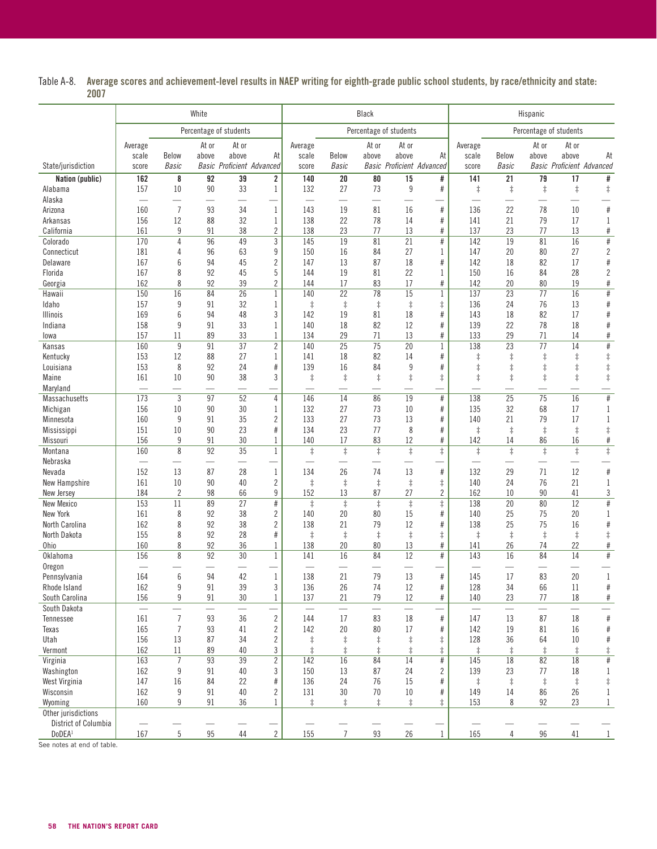Table A-8. Average scores and achievement-level results in NAEP writing for eighth-grade public school students, by race/ethnicity and state: 2007

|                              | White      |                 |                          |                                  |                         |                          |                          | Black                 |                          |                                  |                          |                          | Hispanic                      |                                  |                            |
|------------------------------|------------|-----------------|--------------------------|----------------------------------|-------------------------|--------------------------|--------------------------|-----------------------|--------------------------|----------------------------------|--------------------------|--------------------------|-------------------------------|----------------------------------|----------------------------|
|                              |            |                 |                          | Percentage of students           |                         | Percentage of students   |                          |                       |                          |                                  |                          |                          | Percentage of students        |                                  |                            |
|                              | Average    |                 | At or                    | At or                            |                         | Average                  |                          | At or                 | At or                    |                                  | Average                  |                          | At or                         | At or                            |                            |
|                              | scale      | <b>Below</b>    | above                    | above                            | At                      | scale                    | <b>Below</b>             | above                 | above                    | At                               | scale                    | Below                    | above                         | above                            | At                         |
| State/jurisdiction           | score      | <b>Basic</b>    |                          | <b>Basic Proficient Advanced</b> |                         | score                    | <b>Basic</b>             |                       |                          | <b>Basic Proficient Advanced</b> | score                    | <b>Basic</b>             |                               | <b>Basic Proficient Advanced</b> |                            |
| Nation (public)<br>Alabama   | 162<br>157 | 8<br>$10$       | 92<br>90                 | 39<br>33                         | 2<br>$\mathbf{1}$       | 140<br>132               | 20<br>27                 | 80<br>73              | 15<br>$\boldsymbol{9}$   | #<br>$\#$                        | 141<br>$\ddagger$        | 21<br>$\ddagger$         | $\overline{79}$<br>$\ddagger$ | 17<br>$\ddagger$                 | #<br>$\ddagger$            |
| Alaska                       |            |                 |                          |                                  |                         | $\overline{\phantom{0}}$ | $\overline{\phantom{0}}$ |                       |                          |                                  | $\equiv$                 |                          |                               |                                  |                            |
| Arizona                      | 160        | $\overline{7}$  | 93                       | 34                               | $\mathbf 1$             | 143                      | 19                       | 81                    | 16                       | $\#$                             | 136                      | 22                       | 78                            | 10                               | #                          |
| Arkansas                     | 156        | 12              | 88                       | 32                               | 1                       | 138                      | 22                       | 78                    | 14                       | $\#$                             | 141                      | 21                       | 79                            | 17                               | 1                          |
| California                   | 161        | 9               | 91                       | 38                               | $\overline{2}$          | 138                      | 23                       | 77                    | 13                       | $\#$                             | 137                      | 23                       | 77                            | 13                               | $\#$                       |
| Colorado                     | 170        | $\overline{4}$  | 96                       | $\overline{49}$                  | $\overline{3}$          | 145                      | 19                       | 81                    | $\overline{21}$          | $\#$                             | 142                      | 19                       | 81                            | 16                               | $\#$                       |
| Connecticut                  | 181        | 4               | 96                       | 63                               | 9                       | 150                      | 16                       | 84                    | 27                       | 1                                | 147                      | 20                       | 80                            | 27                               | $\overline{c}$             |
| Delaware<br>Florida          | 167<br>167 | 6<br>8          | 94<br>92                 | 45<br>45                         | 2<br>5                  | 147<br>144               | 13<br>19                 | 87<br>81              | 18<br>22                 | $\#$<br>1                        | 142<br>150               | 18<br>16                 | 82<br>84                      | 17<br>28                         | $\#$<br>$\overline{c}$     |
| Georgia                      | 162        | 8               | 92                       | 39                               | $\overline{2}$          | 144                      | 17                       | 83                    | 17                       | $\#$                             | 142                      | 20                       | 80                            | 19                               | $\#$                       |
| Hawaii                       | 150        | 16              | 84                       | 26                               | $\mathbf 1$             | 140                      | 22                       | 78                    | 15                       | $\mathbf{1}$                     | 137                      | 23                       | 77                            | 16                               | $\#$                       |
| Idaho                        | 157        | 9               | 91                       | 32                               | 1                       | $\ddagger$               | $\ddagger$               | $\ddagger$            | $\ddagger$               | $\ddagger$                       | 136                      | 24                       | 76                            | 13                               | $\#$                       |
| <b>Illinois</b>              | 169        | 6               | 94                       | 48                               | 3                       | 142                      | 19                       | 81                    | 18                       | $\#$                             | 143                      | 18                       | 82                            | 17                               | $\#$                       |
| Indiana                      | 158        | 9               | 91                       | 33                               | $\mathbf{1}$            | 140                      | 18                       | 82                    | 12                       | $\#$                             | 139                      | 22                       | 78                            | 18                               | $\#$                       |
| lowa                         | 157        | 11              | 89                       | 33                               | $\mathbf{1}$            | 134                      | 29                       | 71                    | 13                       | $\#$                             | 133                      | 29                       | 71                            | 14                               | $\#$                       |
| Kansas                       | 160        | $9\,$           | 91                       | $\overline{37}$                  | $\overline{2}$          | 140                      | $\overline{25}$          | $\overline{75}$       | $\overline{20}$          | $\mathbf{1}$                     | 138                      | $\overline{23}$          | $\overline{77}$               | $\overline{14}$                  | $\#$                       |
| Kentucky                     | 153<br>153 | 12              | 88                       | 27<br>24                         | $\mathbf{1}$            | 141<br>139               | 18<br>16                 | 82<br>84              | 14<br>$9\,$              | $\#$                             | $\ddagger$               | $\ddagger$               | $\ddagger$                    | $\ddagger$                       | $\ddagger$                 |
| Louisiana<br>Maine           | 161        | 8<br>$10\,$     | 92<br>90                 | 38                               | $\#$<br>3               | $\ddagger$               | $\ddagger$               | $\ddagger$            | $\ddagger$               | $\#$<br>$\ddagger$               | $\ddagger$<br>$\ddagger$ | $\ddagger$<br>$\ddagger$ | $\ddagger$<br>$\ddagger$      | $\ddagger$<br>$\ddagger$         | $\ddagger$<br>$\ddagger$   |
| Maryland                     | $\equiv$   |                 |                          |                                  |                         | $\overline{\phantom{0}}$ | $\overline{\phantom{0}}$ |                       |                          |                                  |                          |                          |                               |                                  |                            |
| <b>Massachusetts</b>         | 173        | $\sqrt{3}$      | 97                       | 52                               | 4                       | 146                      | 14                       | 86                    | 19                       | $\#$                             | 138                      | 25                       | $\overline{75}$               | 16                               | $\overline{\#}$            |
| Michigan                     | 156        | 10              | 90                       | 30                               | 1                       | 132                      | 27                       | 73                    | 10                       | $\#$                             | 135                      | 32                       | 68                            | 17                               | $\mathbf{1}$               |
| Minnesota                    | 160        | 9               | 91                       | 35                               | $\overline{2}$          | 133                      | 27                       | 73                    | 13                       | $\#$                             | 140                      | 21                       | 79                            | 17                               | 1                          |
| Mississippi                  | 151        | 10              | 90                       | 23                               | $\#$                    | 134                      | 23                       | 77                    | 8                        | $\#$                             | $\ddagger$               | $\ddagger$               | $\ddagger$                    | $\ddagger$                       | $\ddagger$                 |
| Missouri                     | 156        | $9\,$           | 91                       | 30                               | $\mathbf{1}$            | 140                      | 17                       | 83                    | 12                       | $\#$                             | 142                      | 14                       | 86                            | 16                               | $\#$                       |
| Montana                      | 160        | 8               | 92                       | 35                               | $\mathbf 1$             | $\ddagger$               | $\ddagger$               | $\ddagger$            | $\ddagger$               | $\ddagger$                       | $\ddagger$               | $\ddagger$               | $\ddagger$                    | $\ddagger$                       | $\ddagger$                 |
| Nebraska<br>Nevada           | 152        | 13              | —<br>87                  | 28                               | $\mathbf 1$             | 134                      | 26                       | 74                    | 13                       | $\#$                             | 132                      | 29                       | 71                            | $\overline{\phantom{0}}$<br>12   |                            |
| New Hampshire                | 161        | 10              | 90                       | 40                               | $\overline{c}$          | $\ddagger$               | $\ddagger$               | $\ddagger$            | $\ddagger$               | $\ddagger$                       | 140                      | 24                       | 76                            | 21                               | $\#$<br>$\mathbf 1$        |
| New Jersey                   | 184        | $\overline{2}$  | 98                       | 66                               | 9                       | 152                      | 13                       | 87                    | 27                       | $\overline{2}$                   | 162                      | 10                       | 90                            | 41                               | $\sqrt{3}$                 |
| <b>New Mexico</b>            | 153        | 11              | 89                       | $\overline{27}$                  | $\#$                    | $\ddagger$               | $\overline{\ddagger}$    | $\overline{\ddagger}$ | $\overline{\ddagger}$    | $\ddagger$                       | 138                      | 20                       | 80                            | $\overline{12}$                  | $\overline{\#}$            |
| New York                     | 161        | 8               | 92                       | 38                               | 2                       | 140                      | 20                       | 80                    | 15                       | $\#$                             | 140                      | 25                       | 75                            | 20                               | $\mathbf{1}$               |
| North Carolina               | 162        | 8               | 92                       | 38                               | $\overline{2}$          | 138                      | 21                       | 79                    | 12                       | $\#$                             | 138                      | 25                       | 75                            | 16                               | $\#$                       |
| North Dakota                 | 155        | 8               | 92                       | 28                               | $\#$                    | $\ddagger$               | $\ddagger$               | $\ddagger$            | $\ddagger$               | $\ddagger$                       | $\ddagger$               | $\ddagger$               | $\ddagger$                    | $\ddagger$                       | $\ddagger$                 |
| Ohio                         | 160        | 8               | 92                       | 36                               | 1                       | 138                      | 20                       | 80                    | 13                       | $\#$                             | 141                      | 26                       | 74                            | 22                               | $\#$                       |
| Oklahoma                     | 156        | 8               | 92                       | 30                               | 1                       | 141                      | 16                       | 84                    | 12                       | $\#$                             | 143                      | 16                       | 84                            | 14                               | $\#$                       |
| Oregon                       | 164        | $6\phantom{1}6$ | 94                       | 42                               | $\mathbf{1}$            | 138                      | 21                       | 79                    | 13                       | #                                | 145                      | 17                       | 83                            | 20                               | $\mathbf{1}$               |
| Pennsylvania<br>Rhode Island | 162        | 9               | 91                       | 39                               | 3                       | 136                      | 26                       | 74                    | 12                       | #                                | 128                      | 34                       | 66                            | 11                               | #                          |
| South Carolina               | 156        | 9               | 91                       | 30                               | 1                       | 137                      | 21                       | 79                    | 12                       | $\#$                             | 140                      | 23                       | 77                            | 18                               | $\#$                       |
| South Dakota                 | $\equiv$   | $\equiv$        | $\overline{\phantom{0}}$ | $\equiv$                         |                         | $\overline{\phantom{0}}$ | $\qquad \qquad$          | $\equiv$              | $\overline{\phantom{0}}$ |                                  | $\equiv$                 |                          | $\overline{\phantom{0}}$      | $\overline{\phantom{0}}$         | $\equiv$                   |
| Tennessee                    | 161        | $\overline{7}$  | 93                       | 36                               | $\sqrt{2}$              | 144                      | 17                       | 83                    | 18                       | $\#$                             | 147                      | 13                       | 87                            | 18                               | $\#$                       |
| Texas                        | 165        | $\overline{7}$  | 93                       | 41                               | $\overline{\mathbf{c}}$ | 142                      | 20                       | 80                    | 17                       | $\#$                             | 142                      | 19                       | 81                            | 16                               | $\#$                       |
| Utah                         | 156        | 13              | 87                       | 34                               | $\overline{c}$          | $\ddagger$               | $\ddagger$               | $\ddagger$            | $\ddagger$               | $\ddagger$                       | 128                      | 36                       | 64                            | 10                               | $\#$                       |
| Vermont                      | 162        | 11              | 89                       | 40                               | 3                       | $\ddagger$               | $\ddagger$               | $\ddagger$            | $\ddagger$               | $\ddagger$                       | $\ddagger$               | $\ddagger$               | $\ddagger$                    | $\ddagger$                       | $\ddagger$                 |
| Virginia                     | 163        | $\overline{7}$  | 93                       | 39                               | $\overline{\mathbf{c}}$ | 142                      | 16                       | 84                    | 14                       | $\#$                             | 145                      | 18                       | 82                            | 18                               | $\#$                       |
| Washington                   | 162        | 9               | 91                       | 40                               | 3                       | 150                      | 13                       | 87                    | 24                       | $\overline{c}$                   | 139                      | 23                       | 77                            | 18                               | 1                          |
| West Virginia<br>Wisconsin   | 147<br>162 | 16<br>9         | 84<br>91                 | 22<br>40                         | #<br>2                  | 136<br>131               | 24<br>30                 | 76<br>70              | 15<br>10                 | $\#$<br>$\#$                     | $\ddagger$<br>149        | $\ddagger$<br>14         | $\ddagger$<br>86              | $\ddagger$<br>26                 | $\ddagger$<br>$\mathbf{1}$ |
| Wyoming                      | 160        | 9               | 91                       | 36                               | $\mathbf{1}$            | $\ddagger$               | $\ddagger$               | $\ddagger$            | $\ddagger$               | $\ddagger$                       | 153                      | 8                        | 92                            | 23                               | $\mathbf{1}$               |
| Other jurisdictions          |            |                 |                          |                                  |                         |                          |                          |                       |                          |                                  |                          |                          |                               |                                  |                            |
| District of Columbia         |            |                 |                          |                                  |                         |                          |                          |                       |                          |                                  |                          |                          |                               |                                  |                            |
| DoDEA <sup>1</sup>           | 167        | $5\,$           | 95                       | 44                               | $\overline{2}$          | 155                      | $\overline{7}$           | 93                    | 26                       | $\mathbf{1}$                     | 165                      | $\overline{4}$           | 96                            | 41                               | $\mathbf{1}$               |

See notes at end of table.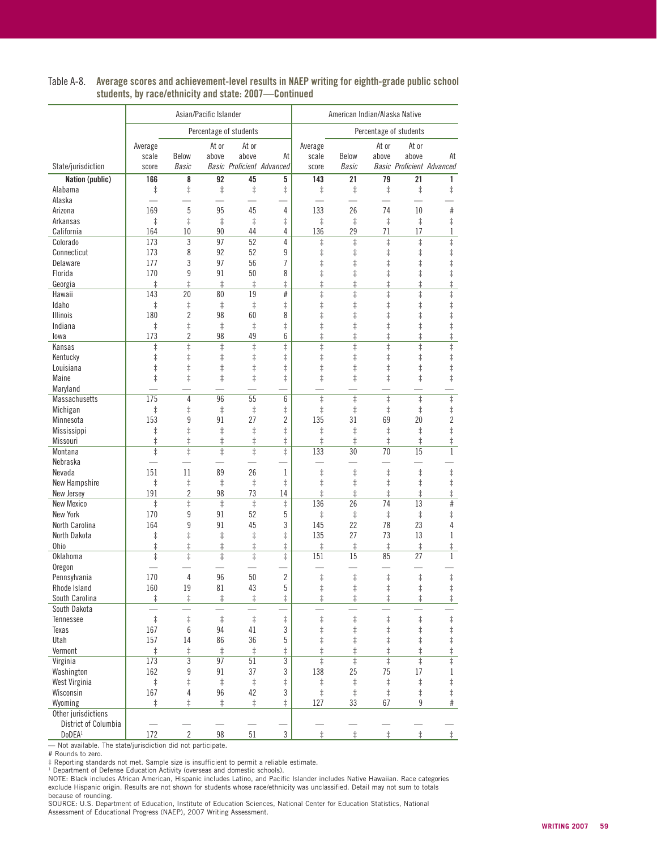|                        |            |                | Asian/Pacific Islander |                        | American Indian/Alaska Native    |                       |                       |            |                                  |                       |  |
|------------------------|------------|----------------|------------------------|------------------------|----------------------------------|-----------------------|-----------------------|------------|----------------------------------|-----------------------|--|
|                        |            |                |                        | Percentage of students |                                  |                       |                       |            | Percentage of students           |                       |  |
|                        | Average    |                | At or                  | At or                  |                                  | Average               |                       | At or      | At or                            |                       |  |
|                        | scale      | Below          | above                  | above                  | At                               | scale                 | Below                 | above      | above                            | At                    |  |
| State/jurisdiction     | score      | <b>Basic</b>   |                        |                        | <b>Basic Proficient Advanced</b> | score                 | <b>Basic</b>          |            | <b>Basic Proficient Advanced</b> |                       |  |
| <b>Nation (public)</b> | 166        | 8              | 92                     | 45                     | 5                                | 143                   | 21                    | 79         | $\overline{21}$                  | 1                     |  |
| Alabama                | $\ddagger$ | $\ddagger$     | $\ddagger$             | $\ddagger$             | $\ddagger$                       | $\ddagger$            | $\ddagger$            | $\ddagger$ | $\ddagger$                       | $\ddagger$            |  |
| Alaska                 |            |                |                        |                        |                                  |                       |                       |            |                                  |                       |  |
| Arizona                | 169        | 5              | 95                     | 45                     | 4                                | 133                   | 26                    | 74         | 10                               | #                     |  |
| Arkansas               | $\ddagger$ | $\ddagger$     | $\ddagger$             | $\ddagger$             | $\ddagger$                       | $\ddagger$            | $\ddagger$            | $\ddagger$ | $\ddagger$                       | $\ddagger$            |  |
| California             | 164        | 10             | 90                     | 44                     | 4                                | 136                   | 29                    | 71         | 17                               | 1                     |  |
| Colorado               | 173        | 3              | 97                     | 52                     | 4                                | $\ddagger$            | $\overline{\ddagger}$ | $\ddagger$ | $\ddagger$                       | $\overline{\ddagger}$ |  |
| Connecticut            | 173        | 8              | 92                     | 52                     | 9                                | $\ddagger$            | $\ddagger$            | $\ddagger$ | $\ddagger$                       | $\ddagger$            |  |
| Delaware               | 177        | 3              | 97                     | 56                     | 7                                | $\ddagger$            | $\ddagger$            | $\ddagger$ | $\ddagger$                       | $\ddagger$            |  |
| Florida                | 170        | 9              | 91                     | 50                     | 8                                | $\ddagger$            | $\ddagger$            | $\ddagger$ | $\ddagger$                       | $\ddagger$            |  |
| Georgia                | $\ddagger$ | $\ddagger$     | $\ddagger$             | $\ddagger$             | $\ddagger$                       | $\ddagger$            | $\ddagger$            | $^\ddag$   | $\ddagger$                       | $\ddagger$            |  |
| Hawaii                 | 143        | 20             | 80                     | 19                     | #                                | $\overline{\ddagger}$ | $\ddagger$            | $\ddagger$ | $\ddagger$                       | $\overline{\ddagger}$ |  |
| Idaho                  | $\ddagger$ | $\ddagger$     | $\ddagger$             | $\ddagger$             | $\ddagger$                       | $\ddagger$            | $\ddagger$            | $\ddagger$ | $\ddagger$                       | $\ddagger$            |  |
| <b>Illinois</b>        | 180        | $\overline{2}$ | 98                     | 60                     | 8                                | $\ddagger$            | $\ddagger$            | $\ddagger$ | $\ddagger$                       | $\ddagger$            |  |
| Indiana                | $\ddagger$ | $^\ddag$       | $\ddagger$             | $\ddagger$             | $\ddagger$                       | $\ddagger$            | $\ddagger$            | $\ddagger$ | $\ddagger$                       | $\ddagger$            |  |
| lowa                   | 173        | $\overline{c}$ | 98                     | 49                     | 6                                | $\ddagger$            | $\ddagger$            | $\ddagger$ | $\ddagger$                       | $\ddagger$            |  |
| Kansas                 | $\ddagger$ | $\ddagger$     | $\ddagger$             | $\ddagger$             | $\ddagger$                       | $\overline{\ddagger}$ | $\ddagger$            | $\ddagger$ | $\ddagger$                       | $\overline{\ddagger}$ |  |
| Kentucky               | $\ddagger$ | $^\ddag$       | $\ddagger$             | $\ddagger$             | $\ddagger$                       | $\ddagger$            | $\ddagger$            | $\ddagger$ | $\ddagger$                       | $\ddagger$            |  |
| Louisiana              | $\ddagger$ | $\ddagger$     | $\ddagger$             | $\ddagger$             | $\ddagger$                       | $\ddagger$            | $\ddagger$            | $^\ddag$   | $\ddagger$                       | $\ddagger$            |  |
| Maine                  | $\ddagger$ | $\ddagger$     | $\ddagger$             | $\ddagger$             | $\ddagger$                       | $\ddagger$            | $\ddagger$            | $\ddagger$ | $\ddagger$                       | $\ddagger$            |  |
| Maryland               |            |                |                        |                        |                                  |                       |                       |            |                                  |                       |  |
| <b>Massachusetts</b>   | 175        | 4              | 96                     | 55                     | 6                                | $\ddagger$            | $\overline{\ddagger}$ | $\ddagger$ | $\overline{\ddagger}$            | $\overline{\ddagger}$ |  |
| Michigan               | $\ddagger$ | $\ddagger$     | $\ddagger$             | $\ddagger$             | $^\ddag$                         | $\ddagger$            | $\ddagger$            | $\ddagger$ | $\ddagger$                       | $\ddagger$            |  |
| Minnesota              | 153        | 9              | 91                     | 27                     | $\overline{c}$                   | 135                   | 31                    | 69         | 20                               | $\overline{c}$        |  |
| Mississippi            | $\ddagger$ | $\ddagger$     | $\ddagger$             | $\ddagger$             | $\ddagger$                       | $\ddagger$            | $\ddagger$            | $\ddagger$ | $\ddagger$                       | $\ddagger$            |  |
| Missouri               | $\ddagger$ | $^\ddag$       | $\ddagger$             | $\ddagger$             | $\ddagger$                       | $\ddagger$            | $\ddagger$            | $\ddagger$ | $\ddagger$                       | $\ddagger$            |  |
| Montana                | $\ddagger$ | $\ddagger$     | $\ddagger$             | $\ddagger$             | $\ddagger$                       | 133                   | 30                    | 70         | $\overline{15}$                  | $\mathbf{1}$          |  |
| Nebraska               |            |                |                        |                        |                                  |                       |                       |            |                                  |                       |  |
| Nevada                 | 151        | 11             | 89                     | 26                     | $\mathbf 1$                      | $\ddagger$            | $\ddagger$            | $\ddagger$ | $\ddagger$                       | $\ddagger$            |  |
| New Hampshire          | $\ddagger$ | $\ddagger$     | $\ddagger$             | $\ddagger$             | $\ddagger$                       | $\ddagger$            | $\ddagger$            | $\ddagger$ | $\ddagger$                       | $\ddagger$            |  |
| New Jersey             | 191        | $\overline{2}$ | 98                     | 73                     | 14                               | $\ddagger$            | $\ddagger$            | $\ddagger$ | $\ddagger$                       | $\ddagger$            |  |
| <b>New Mexico</b>      | $\ddagger$ | $\ddagger$     | $\ddagger$             | $\ddagger$             | $\ddagger$                       | 136                   | 26                    | 74         | 13                               | #                     |  |
| New York               | 170        | 9              | 91                     | 52                     | 5                                | $\ddagger$            | $\ddagger$            | $\ddagger$ | $\ddagger$                       | $\ddagger$            |  |
| North Carolina         | 164        | 9              | 91                     | 45                     | 3                                | 145                   | 22                    | 78         | 23                               | $\overline{4}$        |  |
| North Dakota           | $\ddagger$ | $\ddagger$     | $\ddagger$             | $\ddagger$             | $\ddagger$                       | 135                   | 27                    | 73         | 13                               | 1                     |  |
| <b>Ohio</b>            | $\ddagger$ | $\ddagger$     | $\ddagger$             | $\ddagger$             | ŧ                                | $\ddagger$            | $\ddagger$            | $\ddagger$ | $^\ddag$                         | $\ddagger$            |  |
| Oklahoma               | $\ddagger$ | $\ddagger$     | $\ddagger$             | $\ddagger$             | $\ddagger$                       | 151                   | 15                    | 85         | 27                               | $\mathbf{1}$          |  |
| Oregon                 |            |                |                        |                        |                                  |                       |                       |            |                                  |                       |  |
| Pennsylvania           | 170        | 4              | 96                     | 50                     | $\overline{c}$                   | $\ddagger$            | $\ddagger$            | $\ddagger$ | $\ddagger$                       | $\ddagger$            |  |
| Rhode Island           | 160        | 19             | 81                     | 43                     | 5                                | $\ddagger$            | $\ddagger$            | $\ddagger$ | $\ddagger$                       | $\ddagger$            |  |
| South Carolina         | $\ddagger$ | $\ddagger$     | $\ddagger$             | $\ddagger$             | $\ddagger$                       | $\ddagger$            | $\ddagger$            | $\ddagger$ | $\ddagger$                       | $\ddagger$            |  |
| South Dakota           |            |                |                        |                        |                                  |                       |                       |            |                                  |                       |  |
| Tennessee              | $\ddagger$ | $\ddagger$     | $\ddagger$             | $\ddagger$             | $\ddagger$                       | $\ddagger$            | $\ddagger$            | $\ddagger$ | $\ddagger$                       | $\ddagger$            |  |
| Texas                  | 167        | 6              | 94                     | 41                     | 3                                | $\ddagger$            | $\ddagger$            | $\ddagger$ | $\ddagger$                       | $\ddagger$            |  |
| Utah                   | 157        | 14             | 86                     | 36                     | 5                                | $\ddagger$            | $\ddagger$            | $\ddagger$ | $\ddagger$                       | $\ddagger$            |  |
| Vermont                | $\ddagger$ | $\ddagger$     | $\ddagger$             | $\ddagger$             | $^\ddag$                         | $\ddagger$            | $\ddagger$            | $\ddagger$ | $\ddagger$                       |                       |  |
| Virginia               | 173        | 3              | 97                     | 51                     | 3                                | $\ddagger$            | $\ddagger$            | $\ddagger$ | $\overline{\ddagger}$            | $\frac{1}{1}$         |  |
| Washington             | 162        | 9              | 91                     | 37                     | 3                                | 138                   | 25                    | 75         | 17                               | $\mathbf{1}$          |  |
| West Virginia          | $\ddagger$ | $\ddagger$     | $\ddagger$             | $\ddagger$             | $\ddagger$                       | $^\ddag$              | $\ddagger$            | $\ddagger$ | $\ddagger$                       | $\ddagger$            |  |
| Wisconsin              | 167        | 4              | 96                     | 42                     | 3                                | $\ddagger$            | $\ddagger$            | $\ddagger$ | $\ddagger$                       | $\ddagger$            |  |
| Wyoming                | $\ddagger$ | $\ddagger$     | $\ddagger$             | $\ddagger$             | $\ddagger$                       | 127                   | 33                    | 67         | 9                                | $\#$                  |  |
| Other jurisdictions    |            |                |                        |                        |                                  |                       |                       |            |                                  |                       |  |
| District of Columbia   |            |                |                        |                        |                                  |                       |                       |            |                                  |                       |  |
| DoDEA <sup>1</sup>     | 172        | $\overline{2}$ | 98                     | $51\,$                 | $\mathfrak{Z}$                   | $\ddagger$            | $\ddagger$            | $\ddagger$ | $\ddagger$                       | $\ddagger$            |  |

#### Table A-8. Average scores and achievement-level results in NAEP writing for eighth-grade public school students, by race/ethnicity and state: 2007—Continued

— Not available. The state/jurisdiction did not participate.

# Rounds to zero.

‡ Reporting standards not met. Sample size is insufficient to permit a reliable estimate.<br><sup>1</sup> Department of Defense Education Activity (overseas and domestic schools).<br>NOTE: Black includes African American, Hispanic includ exclude Hispanic origin. Results are not shown for students whose race/ethnicity was unclassified. Detail may not sum to totals

because of rounding.<br>SOURCE: U.S. Department of Education, Institute of Education Sciences, National Center for Education Statistics, National Assessment of Educational Progress (NAEP), 2007 Writing Assessment.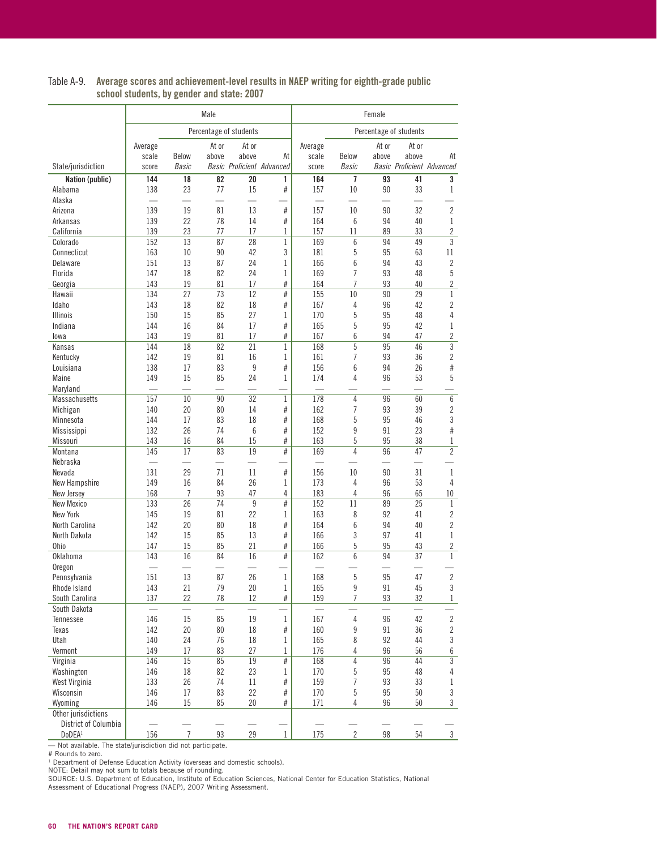| Table A-9. | Average scores and achievement-level results in NAEP writing for eighth-grade public |
|------------|--------------------------------------------------------------------------------------|
|            | school students, by gender and state: 2007                                           |

|                                |            |                | Male     |                                  |                     |            |                | Female          |                        |                                  |
|--------------------------------|------------|----------------|----------|----------------------------------|---------------------|------------|----------------|-----------------|------------------------|----------------------------------|
|                                |            |                |          |                                  |                     |            |                |                 |                        |                                  |
|                                |            |                |          | Percentage of students           |                     |            |                |                 | Percentage of students |                                  |
|                                | Average    |                | At or    | At or                            |                     | Average    |                | At or           | At or                  |                                  |
|                                | scale      | Below          | above    | above                            | At                  | scale      | Below          | above           | above                  | At                               |
| State/jurisdiction             | score      | Basic          |          | <b>Basic Proficient Advanced</b> |                     | score      | <b>Basic</b>   |                 |                        | <b>Basic Proficient Advanced</b> |
| Nation (public)                | 144        | 18             | 82       | $\overline{20}$                  | 1                   | 164        | 7              | $\overline{93}$ | 41                     | 3                                |
| Alabama                        | 138        | 23             | 77       | 15                               | #                   | 157        | 10             | 90              | 33                     | 1                                |
| Alaska<br>Arizona              | 139        | 19             | 81       | 13                               | #                   | 157        | 10             | 90              | 32                     | $\overline{2}$                   |
| Arkansas                       | 139        | 22             | 78       | 14                               | #                   | 164        | 6              | 94              | 40                     | $\mathbf{1}$                     |
| California                     | 139        | 23             | 77       | 17                               | 1                   | 157        | 11             | 89              | 33                     | $\overline{c}$                   |
| Colorado                       | 152        | 13             | 87       | 28                               | $\mathbf{1}$        | 169        | 6              | 94              | 49                     | 3                                |
| Connecticut                    | 163        | 10             | 90       | 42                               | 3                   | 181        | 5              | 95              | 63                     | 11                               |
| Delaware                       | 151        | 13             | 87       | 24                               | $\mathbf{1}$        | 166        | 6              | 94              | 43                     | $\overline{2}$                   |
| Florida                        | 147        | 18             | 82       | 24                               | 1                   | 169        | 7              | 93              | 48                     | 5                                |
| Georgia                        | 143        | 19             | 81       | 17                               | $\#$                | 164        | 7              | 93              | 40                     | 2                                |
| Hawaii                         | 134        | 27             | 73       | 12                               | $\overline{\#}$     | 155        | 10             | 90              | 29                     | $\mathbf{1}$                     |
| Idaho                          | 143        | 18             | 82       | 18                               | #                   | 167        | 4              | 96              | 42                     | $\overline{c}$                   |
| <b>Illinois</b>                | 150        | 15             | 85       | 27                               | $\mathbf{1}$        | 170        | 5              | 95              | 48                     | 4                                |
| Indiana                        | 144        | 16             | 84       | 17                               | $\#$                | 165        | 5              | 95              | 42                     | 1                                |
| lowa                           | 143        | 19             | 81       | 17                               | #                   | 167        | 6              | 94              | 47                     | $\overline{\mathbf{c}}$          |
| Kansas                         | 144        | 18             | 82       | 21                               | $\mathbf{1}$        | 168        | 5              | 95              | 46                     | 3                                |
| Kentucky                       | 142        | 19             | 81       | 16                               | $\mathbf{1}$        | 161        | 7              | 93              | 36                     | 2                                |
| Louisiana<br>Maine             | 138        | 17             | 83       | 9                                | $\#$                | 156        | 6<br>4         | 94              | 26                     | #                                |
|                                | 149        | 15             | 85       | 24                               | $\mathbf{1}$        | 174        |                | 96              | 53                     | 5                                |
| Maryland<br>Massachusetts      | 157        | 10             | 90       | 32                               | $\mathbf{1}$        | 178        | $\overline{4}$ | 96              | 60                     | 6                                |
| Michigan                       | 140        | 20             | 80       | 14                               | $\#$                | 162        | 7              | 93              | 39                     | 2                                |
| Minnesota                      | 144        | 17             | 83       | 18                               | #                   | 168        | 5              | 95              | 46                     | 3                                |
| Mississippi                    | 132        | 26             | 74       | 6                                | $\#$                | 152        | 9              | 91              | 23                     | #                                |
| Missouri                       | 143        | 16             | 84       | 15                               | $\#$                | 163        | 5              | 95              | 38                     | 1                                |
| Montana                        | 145        | 17             | 83       | 19                               | #                   | 169        | 4              | 96              | 47                     | $\overline{2}$                   |
| Nebraska                       |            |                |          |                                  |                     |            |                |                 |                        |                                  |
| Nevada                         | 131        | 29             | 71       | 11                               | $\#$                | 156        | 10             | 90              | 31                     | 1                                |
| New Hampshire                  | 149        | 16             | 84       | 26                               | $\mathbf{1}$        | 173        | 4              | 96              | 53                     | 4                                |
| New Jersey                     | 168        | 7              | 93       | 47                               | 4                   | 183        | 4              | 96              | 65                     | 10                               |
| <b>New Mexico</b>              | 133        | 26             | 74       | 9                                | $\overline{\#}$     | 152        | 11             | 89              | 25                     | $\mathbf{1}$                     |
| New York                       | 145        | 19             | 81       | 22                               | 1                   | 163        | 8              | 92              | 41                     | $\overline{c}$                   |
| North Carolina                 | 142        | 20             | 80       | 18                               | $\#$                | 164        | 6              | 94              | 40                     | $\overline{2}$                   |
| North Dakota                   | 142        | 15             | 85       | 13                               | #                   | 166        | 3              | 97              | 41                     | 1                                |
| <b>Ohio</b>                    | 147        | 15             | 85       | 21                               | $\#$                | 166        | 5              | 95              | 43                     | 2                                |
| Oklahoma                       | 143        | 16             | 84       | 16                               | #                   | 162        | 6              | 94              | 37                     | 1                                |
| Oregon                         |            |                |          |                                  |                     |            |                |                 |                        |                                  |
| Pennsylvania                   | 151        | 13             | 87       | 26                               | 1                   | 168        | 5              | 95              | 47                     | 2                                |
| Rhode Island<br>South Carolina | 143<br>137 | 21<br>22       | 79<br>78 | 20<br>12                         | $\mathbf 1$<br>$\#$ | 165<br>159 | 9<br>7         | 91<br>93        | 45<br>32               | 3<br>1                           |
| South Dakota                   |            |                |          |                                  |                     |            |                |                 |                        |                                  |
| Tennessee                      | 146        | 15             | 85       | 19                               | $\mathbf{1}$        | 167        | 4              | 96              | 42                     | $\overline{\mathbf{c}}$          |
| Texas                          | 142        | 20             | 80       | 18                               | $\#$                | 160        | 9              | 91              | 36                     | 2                                |
| Utah                           | 140        | 24             | 76       | 18                               | 1                   | 165        | 8              | 92              | 44                     | 3                                |
| Vermont                        | 149        | 17             | 83       | 27                               | 1                   | 176        | 4              | 96              | 56                     | 6                                |
| Virginia                       | 146        | 15             | 85       | 19                               | $\#$                | 168        | 4              | 96              | 44                     | 3                                |
| Washington                     | 146        | 18             | 82       | 23                               | 1                   | 170        | 5              | 95              | 48                     | 4                                |
| West Virginia                  | 133        | 26             | 74       | 11                               | $\#$                | 159        | 7              | 93              | 33                     | 1                                |
| Wisconsin                      | 146        | 17             | 83       | 22                               | #                   | 170        | 5              | 95              | 50                     | 3                                |
| Wyoming                        | 146        | 15             | 85       | 20                               | #                   | 171        | 4              | 96              | 50                     | 3                                |
| Other jurisdictions            |            |                |          |                                  |                     |            |                |                 |                        |                                  |
| District of Columbia           |            |                |          |                                  |                     |            |                |                 |                        |                                  |
| DoDEA <sup>1</sup>             | 156        | $\overline{7}$ | 93       | 29                               | $\mathbf 1$         | 175        | $\overline{2}$ | 98              | 54                     | $\frac{3}{ }$                    |

— Not available. The state/jurisdiction did not participate.<br># Rounds to zero.<br><sup>1</sup> Department of Defense Education Activity (overseas and domestic schools).<br>NOTE: Detail may not sum to totals because of rounding.<br>NOTE: U.S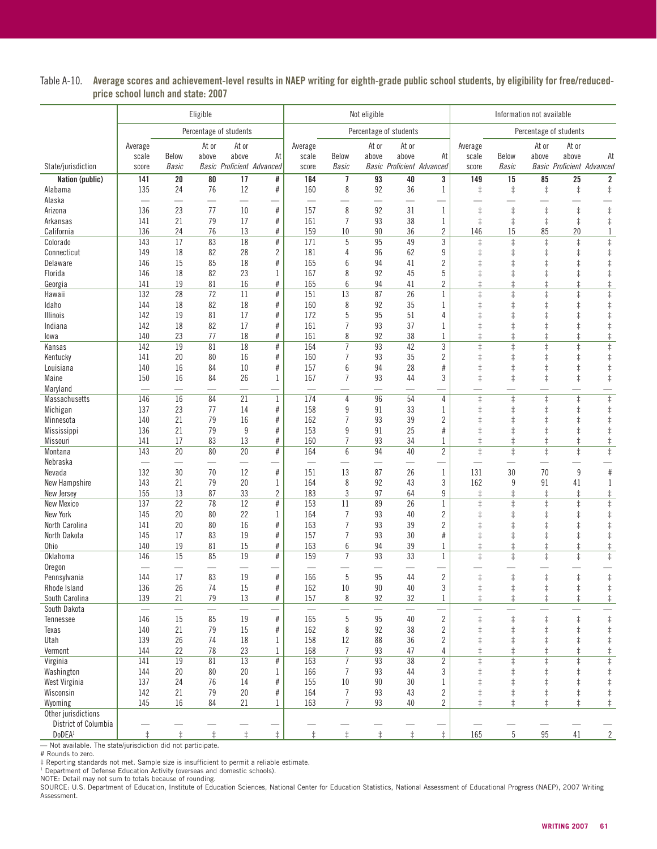| Table A-10. Average scores and achievement-level results in NAEP writing for eighth-grade public school students, by eligibility for free/reduced- |
|----------------------------------------------------------------------------------------------------------------------------------------------------|
| price school lunch and state: 2007                                                                                                                 |

|                                            | Eligible   |                          |                       |                                  | Not eligible   |            |                      |                          | Information not available |                                  |                                     |                          |                          |                                  |                          |
|--------------------------------------------|------------|--------------------------|-----------------------|----------------------------------|----------------|------------|----------------------|--------------------------|---------------------------|----------------------------------|-------------------------------------|--------------------------|--------------------------|----------------------------------|--------------------------|
|                                            |            |                          |                       | Percentage of students           |                |            |                      |                          | Percentage of students    |                                  |                                     |                          |                          | Percentage of students           |                          |
|                                            | Average    |                          | At or                 | At or                            |                | Average    |                      | At or                    | At or                     |                                  | Average                             |                          | At or                    | At or                            |                          |
|                                            | scale      | Below                    | above                 | above                            | At             | scale      | Below                | above                    | above                     | At                               | scale                               | Below                    | above                    | above                            | At                       |
| State/jurisdiction                         | score      | <b>Basic</b>             |                       | <b>Basic Proficient Advanced</b> |                | score      | <b>Basic</b>         |                          |                           | <b>Basic Proficient Advanced</b> | score                               | <b>Basic</b>             |                          | <b>Basic Proficient Advanced</b> |                          |
| Nation (public)                            | 141<br>135 | $20\,$<br>24             | $\overline{80}$<br>76 | $\overline{17}$<br>12            | #<br>$\#$      | 164<br>160 | 7<br>8               | $\overline{93}$<br>92    | 40<br>36                  | 3                                | 149                                 | 15                       | 85                       | 25                               | 2                        |
| Alabama<br>Alaska                          |            |                          |                       |                                  |                |            |                      |                          |                           | 1                                | $\ddagger$                          | $\ddagger$               | $\ddagger$               | $\ddagger$                       | $\ddagger$               |
| Arizona                                    | 136        | 23                       | 77                    | 10                               | $\#$           | 157        | 8                    | 92                       | 31                        | $\mathbf{1}$                     | $\ddagger$                          | $\ddagger$               | $\ddagger$               | $\ddagger$                       | $\ddagger$               |
| Arkansas                                   | 141        | 21                       | 79                    | 17                               | $\#$           | 161        | $\overline{1}$       | 93                       | 38                        | $\mathbf{1}$                     | $\ddagger$                          | $\ddagger$               | $\ddagger$               | $\ddagger$                       | $\ddagger$               |
| California                                 | 136        | 24                       | 76                    | 13                               | #              | 159        | 10                   | 90                       | 36                        | $\overline{2}$                   | 146                                 | 15                       | 85                       | 20                               | $\mathbf 1$              |
| Colorado                                   | 143        | 17                       | 83                    | 18                               | $\#$           | 171        | 5                    | 95                       | 49                        | 3                                | $\ddagger$                          | $\ddagger$               | $\ddagger$               | $\ddagger$                       | $\ddagger$               |
| Connecticut                                | 149        | 18                       | 82                    | 28                               | $\overline{2}$ | 181        | 4                    | 96                       | 62                        | 9                                | $\ddagger$                          | ŧ                        | $\ddagger$               | $\ddagger$                       | $\ddagger$               |
| Delaware                                   | 146        | 15                       | 85                    | 18                               | $\#$           | 165        | 6                    | 94                       | 41                        | $\overline{2}$                   | $\ddagger$                          | $\ddagger$               | $\ddagger$               | $\ddagger$                       | $\ddagger$               |
| Florida                                    | 146        | 18                       | 82                    | 23                               | $\mathbf 1$    | 167        | 8                    | 92                       | 45                        | 5                                | $\ddagger$                          |                          | $\ddagger$               | $\ddagger$                       | $\ddagger$               |
| Georgia                                    | 141        | 19                       | 81                    | 16                               | #              | 165        | 6                    | 94                       | 41                        | $\overline{2}$                   | $\ddagger$                          | $\ddagger$               | $\ddagger$               | $\ddagger$                       | $\ddagger$               |
| Hawaii                                     | 132<br>144 | 28<br>18                 | $\overline{72}$<br>82 | 11<br>18                         | $\#$<br>#      | 151<br>160 | $\overline{13}$<br>8 | 87<br>92                 | $\overline{26}$<br>35     | $\mathbf{1}$<br>$\mathbf{1}$     | $\overline{\ddagger}$<br>$\ddagger$ | $\ddagger$<br>$\ddagger$ | $\ddagger$<br>$\ddagger$ | $\overline{\ddagger}$            | $\overline{\ddagger}$    |
| Idaho<br><b>Illinois</b>                   | 142        | 19                       | 81                    | 17                               | $\#$           | 172        | 5                    | 95                       | 51                        | 4                                | $\ddagger$                          | $\ddagger$               | $\ddagger$               | $\ddagger$<br>$\ddagger$         | $\ddagger$<br>$\ddagger$ |
| Indiana                                    | 142        | 18                       | 82                    | 17                               | #              | 161        | $\overline{7}$       | 93                       | 37                        | 1                                | $\ddagger$                          | $\ddagger$               | $\ddagger$               | $\ddagger$                       | $\ddagger$               |
| lowa                                       | 140        | 23                       | 77                    | 18                               | $\#$           | 161        | 8                    | 92                       | 38                        | 1                                | $\ddagger$                          | $\ddagger$               | $\ddagger$               | $\ddagger$                       | $\ddagger$               |
| Kansas                                     | 142        | 19                       | $\overline{81}$       | $\overline{18}$                  | $\#$           | 164        | $\overline{7}$       | 93                       | 42                        | $\mathfrak{Z}$                   | $\ddagger$                          | $\ddagger$               | $\ddagger$               | $\ddagger$                       | $\ddagger$               |
| Kentucky                                   | 141        | 20                       | 80                    | 16                               | $\#$           | 160        | $\overline{7}$       | 93                       | 35                        | $\overline{c}$                   | $\ddagger$                          | $\ddagger$               | $\ddagger$               | $\ddagger$                       | $\ddagger$               |
| Louisiana                                  | 140        | 16                       | 84                    | 10                               | $\#$           | 157        | 6                    | 94                       | 28                        | $\#$                             | $\ddagger$                          | $\ddagger$               | $\ddagger$               | $\ddagger$                       | $\ddagger$               |
| Maine                                      | 150        | 16                       | 84                    | 26                               | 1              | 167        | $\overline{7}$       | 93                       | 44                        | 3                                | $\ddagger$                          | $\ddagger$               | $\ddagger$               | $\ddagger$                       | $\ddagger$               |
| Maryland                                   |            | ÷.                       | $\frac{1}{2}$         | ÷.                               |                | $\equiv$   |                      |                          |                           | ÷.                               |                                     |                          |                          |                                  |                          |
| Massachusetts                              | 146        | 16                       | 84                    | 21                               | $\mathbf{1}$   | 174        | $\overline{4}$       | 96                       | 54                        | 4                                | $\ddagger$                          | $\ddagger$               | $\overline{\ddagger}$    | $\ddagger$                       | $\overline{\ddagger}$    |
| Michigan                                   | 137        | 23                       | 77                    | 14                               | $\#$           | 158        | 9                    | 91                       | 33                        | 1                                | $\ddagger$                          | $\ddagger$               | $\ddagger$               | $\ddagger$                       | $\ddagger$               |
| Minnesota                                  | 140        | 21                       | 79                    | 16                               | $\#$           | 162        | $\overline{7}$       | 93                       | 39                        | $\overline{2}$                   | $\ddagger$                          | $\ddagger$               | $\ddagger$               | $\ddagger$                       | $\ddagger$               |
| Mississippi                                | 136        | 21                       | 79                    | $9\,$                            | $\#$           | 153        | 9                    | 91                       | 25                        | $\#$                             | $\ddagger$                          | $\ddagger$               | $\ddagger$               | $\ddagger$                       | $\ddagger$               |
| Missouri<br>Montana                        | 141<br>143 | 17<br>20                 | 83<br>80              | 13<br>20                         | $\#$<br>$\#$   | 160<br>164 | $\overline{7}$<br>6  | 93<br>94                 | 34<br>40                  | 1<br>$\overline{2}$              | $\ddagger$<br>$\ddagger$            | $\ddagger$               | $\ddagger$               | $\ddagger$                       | $\ddagger$               |
| Nebraska                                   |            | $\overline{\phantom{0}}$ | —                     | $\overline{\phantom{0}}$         |                |            |                      |                          |                           |                                  |                                     | $\ddagger$               | $\ddagger$               | $\ddagger$                       | $\ddagger$               |
| Nevada                                     | 132        | 30                       | 70                    | 12                               | $\#$           | 151        | 13                   | 87                       | 26                        | $\mathbf{1}$                     | 131                                 | 30                       | 70                       | $9\,$                            | $\#$                     |
| New Hampshire                              | 143        | 21                       | 79                    | 20                               | 1              | 164        | 8                    | 92                       | 43                        | 3                                | 162                                 | 9                        | 91                       | 41                               | 1                        |
| New Jersey                                 | 155        | 13                       | 87                    | 33                               | $\overline{2}$ | 183        | 3                    | 97                       | 64                        | 9                                | $\ddagger$                          | $\ddagger$               | $\ddagger$               | $\ddagger$                       | $\ddagger$               |
| <b>New Mexico</b>                          | 137        | 22                       | 78                    | 12                               | $\#$           | 153        | 11                   | 89                       | 26                        | $\mathbf{1}$                     | $\ddagger$                          | $\ddagger$               | $\ddagger$               | $\ddagger$                       | $\ddagger$               |
| <b>New York</b>                            | 145        | 20                       | 80                    | 22                               | 1              | 164        | $\overline{7}$       | 93                       | 40                        | $\overline{c}$                   | $\ddagger$                          | $\ddagger$               | $\ddagger$               | $\ddagger$                       | $\ddagger$               |
| North Carolina                             | 141        | 20                       | 80                    | 16                               | #              | 163        | $\overline{7}$       | 93                       | 39                        | $\overline{2}$                   | $\ddagger$                          | $\ddagger$               | $\ddagger$               | $\ddagger$                       | $\ddagger$               |
| North Dakota                               | 145        | 17                       | 83                    | 19                               | $\#$           | 157        | $\overline{7}$       | 93                       | 30                        | $\#$                             | $\ddagger$                          | $\ddagger$               | $\ddagger$               | $\ddagger$                       | $\ddagger$               |
| <b>Ohio</b>                                | 140        | 19                       | 81                    | 15                               | $\#$           | 163        | 6                    | 94                       | 39                        | 1                                | $\ddagger$                          | $\ddagger$               | $\ddagger$               | $\ddagger$                       | $\ddagger$               |
| Oklahoma                                   | 146        | 15                       | 85                    | 19                               | #              | 159        | $\overline{7}$       | $\overline{93}$          | $\overline{33}$           | $\mathbf{1}$                     | $\ddagger$                          | $\ddagger$               | $\ddagger$               | $\ddagger$                       | $\overline{\ddagger}$    |
| Oregon                                     | 144        | 17                       | 83                    | 19                               | #              | 166        | 5                    | 95                       | 44                        | $\overline{2}$                   | $\ddagger$                          |                          | $\ddagger$               |                                  | $\ddagger$               |
| Pennsylvania<br>Rhode Island               | 136        | 26                       | 74                    | 15                               | $\#$           | 162        | 10                   | 90                       | 40                        | 3                                | $\ddagger$                          | $\ddagger$<br>$\ddagger$ | $\ddagger$               | $\ddagger$<br>$\ddagger$         | $\ddagger$               |
| South Carolina                             | 139        | 21                       | 79                    | 13                               | #              | 157        | 8                    | 92                       | 32                        | $\mathbf{1}$                     | $\ddagger$                          | $\ddagger$               | $\ddagger$               | $\ddagger$                       | $\ddagger$               |
| South Dakota                               |            | $\equiv$                 |                       |                                  |                |            |                      | $\overline{\phantom{0}}$ | $\overline{\phantom{0}}$  |                                  |                                     |                          |                          |                                  |                          |
| Tennessee                                  | 146        | 15                       | 85                    | 19                               | $\#$           | 165        | 5                    | 95                       | 40                        | $\overline{2}$                   | $\ddagger$                          | $\ddagger$               | $\ddagger$               | $\ddagger$                       | $\ddagger$               |
| Texas                                      | 140        | 21                       | 79                    | 15                               | $\#$           | 162        | 8                    | 92                       | 38                        | $\overline{2}$                   | $\ddagger$                          | $\ddagger$               | $\ddagger$               | $\ddagger$                       | $\ddagger$               |
| Utah                                       | 139        | 26                       | 74                    | 18                               | $\mathbf{1}$   | 158        | 12                   | 88                       | 36                        | $\overline{c}$                   | $\ddagger$                          | $\ddagger$               | $\pm$                    | $\ddagger$                       | $\ddagger$               |
| Vermont                                    | 144        | 22                       | 78                    | 23                               | 1              | 168        | 7                    | 93                       | 47                        | 4                                | $\ddagger$                          | $\ddagger$               | $\ddagger$               | $\ddagger$                       | $\ddagger$               |
| Virginia                                   | 141        | 19                       | 81                    | $\overline{13}$                  | $\#$           | 163        | $\overline{7}$       | 93                       | 38                        | $\overline{2}$                   | $\ddagger$                          | $\ddagger$               | $\ddagger$               | $\ddagger$                       | $\overline{\ddagger}$    |
| Washington                                 | 144        | 20                       | 80                    | 20                               | 1              | 166        | $\overline{7}$       | 93                       | 44                        | 3                                | $\ddagger$                          | $\ddagger$               | $\pm$                    | $\ddagger$                       | $\ddagger$               |
| West Virginia                              | 137        | 24                       | 76                    | 14                               | #              | 155        | 10                   | 90                       | 30                        | 1                                | $\ddagger$                          | $\ddagger$               | $\pm$                    | $\ddagger$                       | $\ddagger$               |
| Wisconsin                                  | 142        | 21                       | 79                    | 20                               | $\#$           | 164        | $\overline{7}$       | 93                       | 43                        | $\overline{c}$                   | $\ddagger$                          | $^\ddag$                 | $\ddagger$               | $\ddagger$                       | $\ddagger$               |
| Wyoming                                    | 145        | 16                       | 84                    | 21                               | 1              | 163        | $\overline{7}$       | 93                       | 40                        | $\overline{2}$                   | $\ddagger$                          | $\ddagger$               | $\ddagger$               | $\ddagger$                       | $\ddagger$               |
| Other jurisdictions                        |            |                          |                       |                                  |                |            |                      |                          |                           |                                  |                                     |                          |                          |                                  |                          |
| District of Columbia<br>DoDEA <sup>1</sup> | $\ddagger$ | $\ddagger$               | $\ddagger$            | $\ddagger$                       | $\ddagger$     | $\ddagger$ | $\ddagger$           | $\ddagger$               | $\ddagger$                | $\ddagger$                       | 165                                 | 5                        | 95                       | 41                               | $\overline{2}$           |
|                                            |            |                          |                       |                                  |                |            |                      |                          |                           |                                  |                                     |                          |                          |                                  |                          |

— Not available. The state/jurisdiction did not participate.<br># Reporting standards not met. Sample size is insufficient to permit a reliable estimate.<br># Reporting standards not met. Sample size is insufficient to permit a Assessment.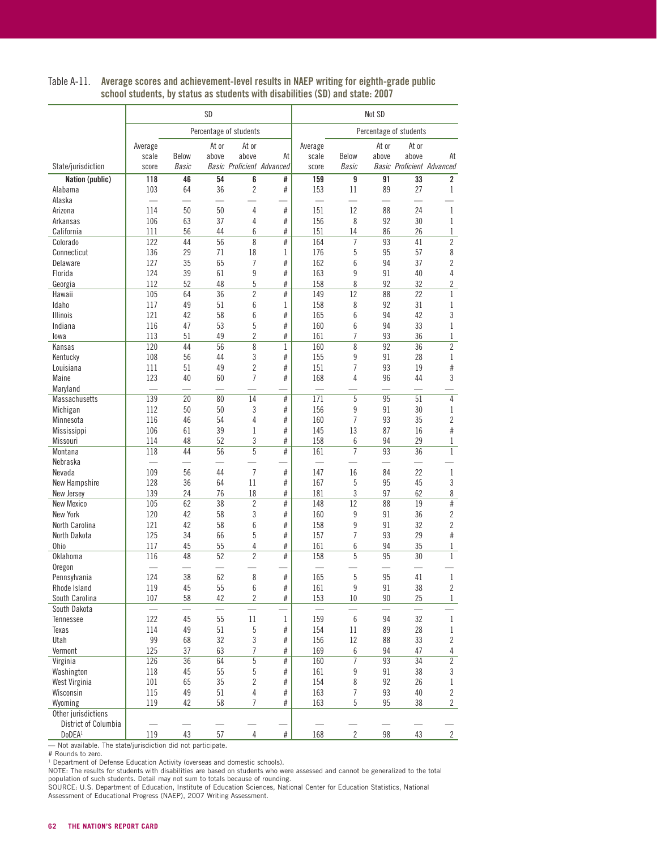|                             |            | SD           |          |                                  |              |            | Not SD                  |          |                           |                     |  |  |
|-----------------------------|------------|--------------|----------|----------------------------------|--------------|------------|-------------------------|----------|---------------------------|---------------------|--|--|
|                             |            |              |          | Percentage of students           |              |            |                         |          | Percentage of students    |                     |  |  |
|                             | Average    |              | At or    | At or                            |              | Average    |                         | At or    | At or                     |                     |  |  |
|                             | scale      | Below        | above    | above                            | At           | scale      | Below                   | above    | above                     | At                  |  |  |
| State/jurisdiction          | score      | <b>Basic</b> |          | <b>Basic Proficient Advanced</b> |              | score      | <b>Basic</b>            |          | Basic Proficient Advanced |                     |  |  |
| Nation (public)             | 118        | 46           | 54       | 6                                | #            | 159        | 9                       | 91       | $\overline{33}$           | $\overline{2}$      |  |  |
| Alabama                     | 103        | 64           | 36       | $\overline{2}$                   | #            | 153        | 11                      | 89       | 27                        | 1                   |  |  |
| Alaska                      | 114        | 50           | 50       | $\overline{4}$                   |              | 151        | 12                      | 88       | 24                        | 1                   |  |  |
| Arizona<br>Arkansas         | 106        | 63           | 37       | 4                                | $\#$<br>#    | 156        | 8                       | 92       | 30                        | 1                   |  |  |
| California                  | 111        | 56           | 44       | 6                                | #            | 151        | 14                      | 86       | 26                        | $\mathbf 1$         |  |  |
| Colorado                    | 122        | 44           | 56       | 8                                | #            | 164        | $\overline{7}$          | 93       | 41                        | $\overline{2}$      |  |  |
| Connecticut                 | 136        | 29           | 71       | 18                               | 1            | 176        | 5                       | 95       | 57                        | 8                   |  |  |
| Delaware                    | 127        | 35           | 65       | 7                                | #            | 162        | 6                       | 94       | 37                        | $\overline{2}$      |  |  |
| Florida                     | 124        | 39           | 61       | 9                                | #            | 163        | 9                       | 91       | 40                        | $\overline{4}$      |  |  |
| Georgia                     | 112        | 52           | 48       | 5                                | #            | 158        | 8                       | 92       | 32                        | $\overline{c}$      |  |  |
| Hawaii                      | 105        | 64           | 36       | $\overline{c}$                   | #            | 149        | 12                      | 88       | 22                        | $\mathbf{1}$        |  |  |
| Idaho                       | 117        | 49           | 51       | 6                                | 1            | 158        | 8                       | 92       | 31                        | 1                   |  |  |
| <b>Illinois</b>             | 121        | 42           | 58       | 6                                | #            | 165        | 6                       | 94       | 42                        | 3                   |  |  |
| Indiana                     | 116        | 47           | 53       | 5                                | #            | 160        | 6                       | 94       | 33                        | 1                   |  |  |
| lowa                        | 113        | 51           | 49       | $\overline{c}$                   | #            | 161        | 7                       | 93       | 36                        | $\mathbf 1$         |  |  |
| Kansas                      | 120        | 44           | 56       | 8                                | 1            | 160        | 8                       | 92       | 36                        | $\overline{2}$      |  |  |
| Kentucky                    | 108        | 56           | 44       | 3                                | #            | 155        | 9                       | 91       | 28                        | 1                   |  |  |
| Louisiana                   | 111        | 51           | 49       | $\overline{c}$                   | #            | 151        | $\overline{1}$          | 93       | 19                        | #                   |  |  |
| Maine                       | 123        | 40           | 60       | 7                                | #            | 168        | 4                       | 96       | 44                        | 3                   |  |  |
| Maryland                    |            |              |          |                                  |              | L.         |                         |          |                           |                     |  |  |
| <b>Massachusetts</b>        | 139        | 20           | 80       | 14                               | #            | 171        | 5                       | 95       | 51                        | $\overline{4}$      |  |  |
| Michigan                    | 112        | 50           | 50       | 3                                | #            | 156        | 9                       | 91       | 30                        | 1                   |  |  |
| Minnesota                   | 116        | 46           | 54       | 4                                | #            | 160        | $\overline{1}$          | 93       | 35                        | $\overline{2}$      |  |  |
| Mississippi                 | 106        | 61           | 39       | 1                                | #            | 145        | 13                      | 87       | 16                        | #                   |  |  |
| Missouri                    | 114        | 48           | 52       | 3                                | #            | 158        | 6                       | 94       | 29                        | 1                   |  |  |
| Montana                     | 118        | 44           | 56       | 5                                | #            | 161        | $\overline{7}$          | 93       | 36                        | 1                   |  |  |
| Nebraska                    |            |              |          |                                  |              |            |                         |          |                           |                     |  |  |
| Nevada                      | 109        | 56           | 44       | $\overline{7}$                   | #            | 147        | 16                      | 84       | 22                        | $\mathbf 1$         |  |  |
| New Hampshire               | 128        | 36           | 64       | 11                               | #            | 167        | 5                       | 95       | 45                        | 3                   |  |  |
| New Jersey                  | 139        | 24           | 76       | 18                               | #            | 181        | 3                       | 97       | 62                        | 8                   |  |  |
| <b>New Mexico</b>           | 105        | 62           | 38       | $\overline{2}$                   | #            | 148        | 12                      | 88       | 19                        | #                   |  |  |
| New York                    | 120        | 42           | 58       | 3                                | #            | 160        | 9                       | 91       | 36                        | $\overline{2}$      |  |  |
| North Carolina              | 121        | 42           | 58       | 6                                | #            | 158        | 9                       | 91       | 32                        | $\overline{c}$      |  |  |
| North Dakota                | 125        | 34           | 66       | 5                                | #            | 157        | $\overline{7}$          | 93       | 29                        | #                   |  |  |
| <b>Ohio</b>                 | 117        | 45           | 55       | 4                                | #            | 161        | 6                       | 94       | 35                        | 1                   |  |  |
| Oklahoma                    | 116        | 48           | 52       | $\overline{c}$                   | #            | 158        | 5                       | 95       | 30                        | $\mathbf{1}$        |  |  |
| Oregon                      |            |              |          |                                  |              |            |                         |          |                           |                     |  |  |
| Pennsylvania                | 124        | 38           | 62       | 8                                | #            | 165        | 5                       | 95       | 41                        | 1                   |  |  |
| Rhode Island                | 119        | 45           | 55       | 6                                | $\#$         | 161        | 9                       | 91       | 38                        | $\overline{c}$      |  |  |
| South Carolina              | 107        | 58           | 42       | $\overline{2}$                   | $\#$         | 153        | 10                      | 90       | 25<br>L.                  | $\mathbf{1}$        |  |  |
| South Dakota                |            | $\equiv$     |          |                                  |              |            |                         |          |                           |                     |  |  |
| Tennessee                   | 122        | 45           | 55       | 11                               | $\mathbf{1}$ | 159        | 6                       | 94       | 32                        | $\mathbf 1$         |  |  |
| Texas<br>Utah               | 114<br>99  | 49<br>68     | 51<br>32 | $\sqrt{5}$<br>3                  | #<br>$\#$    | 154<br>156 | $11\,$<br>12            | 89       | 28<br>33                  | $\mathbf 1$         |  |  |
|                             |            |              |          |                                  |              |            |                         | 88       |                           | $\overline{c}$      |  |  |
| Vermont                     | 125<br>126 | 37<br>36     | 63<br>64 | 7<br>5                           | #<br>$\#$    | 169<br>160 | $6\,$<br>$\overline{7}$ | 94<br>93 | 47<br>34                  | 4<br>$\overline{c}$ |  |  |
| Virginia                    | 118        | 45           | 55       | 5                                | $\#$         |            | 9                       | 91       | 38                        |                     |  |  |
| Washington<br>West Virginia | 101        | 65           | 35       | 2                                | #            | 161<br>154 | 8                       | 92       | 26                        | 3<br>1              |  |  |
| Wisconsin                   | 115        | 49           | 51       | 4                                | $\#$         | 163        | $\overline{7}$          | 93       | 40                        | $\overline{c}$      |  |  |
| Wyoming                     | 119        | 42           | 58       | $\overline{7}$                   | #            | 163        | 5                       | 95       | 38                        | $\overline{2}$      |  |  |
| Other jurisdictions         |            |              |          |                                  |              |            |                         |          |                           |                     |  |  |
| District of Columbia        |            |              |          |                                  |              |            |                         |          |                           |                     |  |  |
| DoDEA <sup>1</sup>          | 119        | 43           | 57       | 4                                | $\#$         | 168        | $\overline{2}$          | 98       | 43                        | $\overline{2}$      |  |  |
|                             |            |              |          |                                  |              |            |                         |          |                           |                     |  |  |

#### Table A-11. Average scores and achievement-level results in NAEP writing for eighth-grade public school students, by status as students with disabilities (SD) and state: 2007

— Not available. The state/jurisdiction did not participate.

# Rounds to zero.<br><sup>1</sup> Department of Defense Education Activity (overseas and domestic schools).<br>NOTE: The results for students with disabilities are based on students who were assessed and cannot be generalized to the tota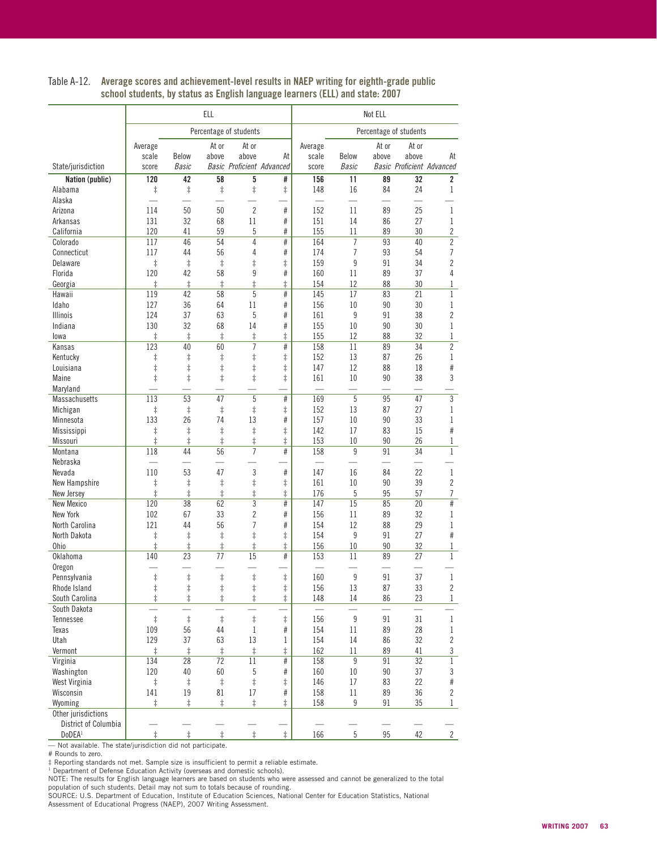|                                             | <b>ELL</b>        |                  |                  |                        |                                  | Not ELL                         |                  |          |                                  |                     |  |
|---------------------------------------------|-------------------|------------------|------------------|------------------------|----------------------------------|---------------------------------|------------------|----------|----------------------------------|---------------------|--|
|                                             |                   |                  |                  | Percentage of students |                                  |                                 |                  |          | Percentage of students           |                     |  |
|                                             | Average           |                  | At or            | At or                  |                                  | Average                         |                  | At or    | At or                            |                     |  |
|                                             | scale             | Below            | above            | above                  | At                               | scale                           | Below            | above    | above                            | At                  |  |
| State/jurisdiction                          | score             | <b>Basic</b>     |                  |                        | <b>Basic Proficient Advanced</b> | score                           | <b>Basic</b>     |          | <b>Basic Proficient Advanced</b> |                     |  |
| Nation (public)<br>Alabama                  | 120               | 42<br>$\ddagger$ | 58<br>$\ddagger$ | 5<br>$\ddagger$        | #<br>$\ddagger$                  | 156<br>148                      | 11<br>16         | 89<br>84 | 32<br>24                         | $\overline{2}$<br>1 |  |
| Alaska                                      | $\ddagger$        |                  |                  |                        |                                  |                                 |                  |          |                                  |                     |  |
| Arizona                                     | 114               | 50               | 50               | $\overline{2}$         | $\#$                             | 152                             | 11               | 89       | 25                               | 1                   |  |
| Arkansas                                    | 131               | 32               | 68               | 11                     | #                                | 151                             | 14               | 86       | 27                               | 1                   |  |
| California                                  | 120               | 41               | 59               | 5                      | #                                | 155                             | 11               | 89       | 30                               | $\overline{c}$      |  |
| Colorado                                    | 117               | 46               | 54               | 4                      | #                                | 164                             | $\overline{7}$   | 93       | 40                               | $\overline{2}$      |  |
| Connecticut                                 | 117               | 44               | 56               | 4                      | #                                | 174                             | $\overline{7}$   | 93       | 54                               | 7                   |  |
| Delaware                                    | $\ddagger$        | $\ddagger$       | $\ddagger$       | $\ddagger$             | $\ddagger$                       | 159                             | 9                | 91       | 34                               | $\overline{2}$      |  |
| Florida                                     | 120               | 42               | 58               | 9                      | #                                | 160                             | 11               | 89       | 37                               | $\overline{4}$      |  |
| Georgia                                     | $\ddagger$        | $\ddagger$       | $\ddagger$       | $\ddagger$             | $\ddagger$                       | 154                             | 12               | 88       | 30                               | 1                   |  |
| Hawaii                                      | 119               | 42               | 58               | 5                      | #                                | 145                             | 17               | 83       | 21                               | $\mathbf{1}$        |  |
| Idaho                                       | 127               | 36               | 64               | 11                     | #                                | 156                             | 10               | 90       | 30                               | 1                   |  |
| <b>Illinois</b>                             | 124               | 37               | 63               | 5                      | #                                | 161                             | 9                | 91       | 38                               | $\overline{c}$      |  |
| Indiana                                     | 130               | 32               | 68               | 14                     | $\#$                             | 155                             | 10               | 90       | 30                               | $\mathbf 1$         |  |
| lowa                                        | $\ddagger$        | $\ddagger$       | $\ddagger$       | $\ddagger$             | $\ddagger$                       | 155                             | 12               | 88       | 32                               | $\mathbf 1$         |  |
| Kansas                                      | 123               | 40               | 60               | 7                      | #                                | 158                             | 11               | 89       | 34                               | $\overline{c}$      |  |
| Kentucky                                    | $\ddagger$        | $\ddagger$       | $\ddagger$       | $\ddagger$             | $\ddagger$                       | 152                             | 13               | 87       | 26                               | 1                   |  |
| Louisiana                                   | $\ddagger$        | $\ddagger$       | $\ddagger$       | $\ddagger$             | $\ddagger$                       | 147                             | 12               | 88       | 18                               | #                   |  |
| Maine                                       | $\ddagger$        | $\ddagger$       | $\ddagger$       | $\ddagger$             | $\ddagger$                       | 161<br>$\overline{\phantom{0}}$ | 10               | 90       | 38                               | 3                   |  |
| Maryland                                    |                   |                  |                  | 5                      |                                  |                                 | 5                |          |                                  |                     |  |
| Massachusetts                               | 113               | 53<br>$\ddagger$ | 47<br>$\ddagger$ | $\ddagger$             | #                                | 169<br>152                      | 13               | 95<br>87 | 47<br>27                         | 3<br>1              |  |
| Michigan<br>Minnesota                       | $\ddagger$<br>133 | 26               | 74               | 13                     | $\ddagger$<br>#                  | 157                             | 10               | 90       | 33                               | 1                   |  |
| Mississippi                                 | $\ddagger$        | $\ddagger$       | $\ddagger$       | $\ddagger$             | $\ddagger$                       | 142                             | 17               | 83       | 15                               | #                   |  |
| Missouri                                    | $\ddagger$        | $\ddagger$       | $\ddagger$       | $\ddagger$             | $\ddagger$                       | 153                             | 10               | 90       | 26                               | 1                   |  |
| Montana                                     | 118               | 44               | 56               | $\overline{7}$         | #                                | 158                             | 9                | 91       | 34                               | $\,1$               |  |
| Nebraska                                    |                   |                  |                  |                        |                                  |                                 |                  |          |                                  |                     |  |
| Nevada                                      | 110               | 53               | 47               | $\mathfrak{Z}$         | $\#$                             | 147                             | 16               | 84       | 22                               | $\,1$               |  |
| New Hampshire                               | $\ddagger$        | $\ddagger$       | $\ddagger$       | $\ddagger$             | $^\ddag$                         | 161                             | 10               | 90       | 39                               | $\overline{c}$      |  |
| New Jersey                                  | $\ddagger$        | $\ddagger$       | $\ddagger$       | $\ddagger$             | $\ddagger$                       | 176                             | 5                | 95       | 57                               | 7                   |  |
| <b>New Mexico</b>                           | 120               | 38               | 62               | 3                      | #                                | 147                             | 15               | 85       | 20                               | #                   |  |
| New York                                    | 102               | 67               | 33               | $\overline{2}$         | #                                | 156                             | 11               | 89       | 32                               | 1                   |  |
| North Carolina                              | 121               | 44               | 56               | $\overline{7}$         | $\#$                             | 154                             | 12               | 88       | 29                               | 1                   |  |
| North Dakota                                | $\ddagger$        | $\ddagger$       | $\ddagger$       | $\ddagger$             | ŧ                                | 154                             | 9                | 91       | 27                               | #                   |  |
| <b>Ohio</b>                                 | $\ddagger$        | $\ddagger$       | $\ddagger$       | $\ddagger$             | $\ddagger$                       | 156                             | 10               | 90       | 32                               | 1                   |  |
| Oklahoma                                    | 140               | 23               | 77               | 15                     | #                                | 153                             | 11               | 89       | 27                               | $\mathbf{1}$        |  |
| Oregon                                      |                   |                  |                  |                        |                                  |                                 |                  |          |                                  |                     |  |
| Pennsylvania                                | $\ddagger$        | $\ddagger$       | $\ddagger$       | $\ddagger$             | $\ddagger$                       | 160                             | 9                | 91       | 37                               | 1                   |  |
| Rhode Island                                | $\ddagger$        | $\ddagger$       | $\ddagger$       | $\ddagger$             | $\ddagger$                       | 156                             | 13               | 87       | 33                               | $\overline{c}$      |  |
| South Carolina                              | $\ddagger$        | $\ddagger$       | $\ddagger$       | $\ddagger$             | $\ddagger$                       | 148                             | 14               | 86       | 23                               | 1                   |  |
| South Dakota                                |                   |                  |                  |                        |                                  |                                 |                  |          |                                  |                     |  |
| Tennessee                                   | $\ddagger$        | $\ddagger$       | $\ddagger$       | $\ddagger$             | $\ddagger$                       | 156                             | $\boldsymbol{9}$ | 91       | 31                               | $\mathbf 1$         |  |
| Texas                                       | 109               | 56               | 44               | $\mathbf{1}$           | $\#$                             | 154                             | $11\,$           | 89       | 28                               | $\mathbf 1$         |  |
| Utah                                        | 129               | 37               | 63               | 13                     | 1                                | 154                             | 14               | 86       | 32                               | $\overline{c}$      |  |
| Vermont                                     | $\ddagger$        | $\ddagger$       | $\ddagger$       | $\ddagger$             | $\ddagger$                       | 162                             | 11               | 89       | 41                               | 3                   |  |
| Virginia                                    | 134               | 28               | 72               | 11                     | $\#$                             | 158                             | $\boldsymbol{9}$ | 91       | 32                               | $\mathbf 1$         |  |
| Washington                                  | 120               | 40               | 60               | 5                      | $\#$                             | 160                             | 10               | 90       | 37                               | 3                   |  |
| West Virginia                               | $\ddagger$        | $\ddagger$       | $\ddagger$       | $\ddagger$             | ŧ                                | 146                             | 17               | 83       | 22                               | $\#$                |  |
| Wisconsin                                   | 141               | 19               | 81               | 17                     | #                                | 158                             | $11\,$           | 89       | 36                               | $\overline{2}$      |  |
| Wyoming                                     | $\ddagger$        | $\ddagger$       | $\ddagger$       | $\ddagger$             | $\ddagger$                       | 158                             | 9                | 91       | 35                               | $\mathbf{1}$        |  |
| Other jurisdictions<br>District of Columbia |                   |                  |                  |                        |                                  |                                 |                  |          |                                  |                     |  |
| DoDEA <sup>1</sup>                          | $\ddagger$        | $\ddagger$       | $\ddagger$       | $\ddagger$             | $\ddagger$                       | 166                             | $\overline{5}$   | 95       | 42                               | $\sqrt{2}$          |  |
|                                             |                   |                  |                  |                        |                                  |                                 |                  |          |                                  |                     |  |

#### Table A-12. Average scores and achievement-level results in NAEP writing for eighth-grade public school students, by status as English language learners (ELL) and state: 2007

— Not available. The state/jurisdiction did not participate.<br># Rounds to zero.

# Rounds to zero.<br>‡ Reporting standards not met. Sample size is insufficient to permit a reliable estimate.<br><sup>1</sup> Department of Defense Education Activity (overseas and domestic schools).<br>NOTE: The results for English langua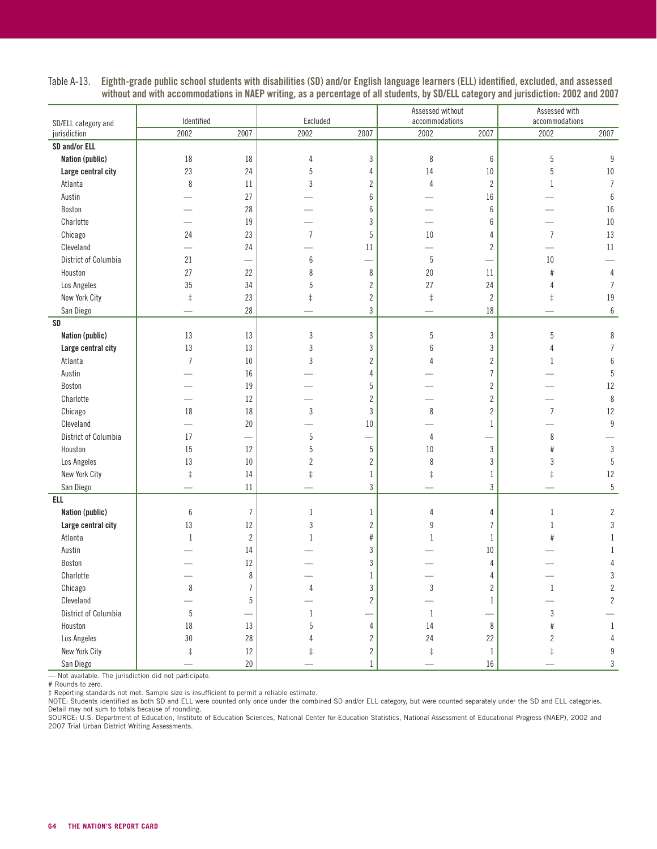| SD/ELL category and  | Identified     |                | Excluded         |                  | Assessed without<br>accommodations |                  | Assessed with<br>accommodations |                          |  |
|----------------------|----------------|----------------|------------------|------------------|------------------------------------|------------------|---------------------------------|--------------------------|--|
| jurisdiction         | 2002           | 2007           | 2002             | 2007             | 2002                               | 2007             | 2002                            | 2007                     |  |
| SD and/or ELL        |                |                |                  |                  |                                    |                  |                                 |                          |  |
| Nation (public)      | 18             | 18             | 4                | $\sqrt{3}$       | 8                                  | $\boldsymbol{6}$ | 5                               | 9                        |  |
| Large central city   | 23             | 24             | $\mathbf 5$      | 4                | 14                                 | $10\,$           | 5                               | $10\,$                   |  |
| Atlanta              | 8              | $11\,$         | $\sqrt{3}$       | $\sqrt{2}$       | $\sqrt{4}$                         | $\sqrt{2}$       | $\mathbf{1}$                    | $\overline{I}$           |  |
| Austin               |                | 27             |                  | $\boldsymbol{6}$ |                                    | 16               |                                 | $\boldsymbol{6}$         |  |
| Boston               |                | 28             |                  | 6                |                                    | 6                |                                 | 16                       |  |
| Charlotte            |                | 19             |                  | $\sqrt{3}$       |                                    | 6                |                                 | $10\,$                   |  |
| Chicago              | 24             | 23             | $\overline{I}$   | $\sqrt{5}$       | $10\,$                             | 4                | $\overline{7}$                  | 13                       |  |
| Cleveland            |                | 24             |                  | 11               |                                    | $\overline{2}$   |                                 | 11                       |  |
| District of Columbia | 21             |                | $\boldsymbol{6}$ |                  | $\sqrt{5}$                         |                  | $10\,$                          |                          |  |
| Houston              | 27             | 22             | 8                | $\,8\,$          | 20                                 | 11               | $\#$                            | $\sqrt{4}$               |  |
| Los Angeles          | 35             | 34             | 5                | $\sqrt{2}$       | 27                                 | 24               | $\overline{4}$                  | $\overline{\mathcal{I}}$ |  |
| New York City        | $\ddagger$     | 23             | $\ddagger$       | $\sqrt{2}$       | $\ddagger$                         | $\overline{2}$   | $\ddagger$                      | $19\,$                   |  |
| San Diego            |                | 28             |                  | $\sqrt{3}$       |                                    | $18\,$           |                                 | $\boldsymbol{6}$         |  |
| SD                   |                |                |                  |                  |                                    |                  |                                 |                          |  |
| Nation (public)      | 13             | 13             | $\sqrt{3}$       | $\sqrt{3}$       | $\sqrt{5}$                         | 3                | 5                               | 8                        |  |
| Large central city   | 13             | 13             | $\mathfrak{z}$   | $\sqrt{3}$       | 6                                  | 3                | $\overline{4}$                  | $\overline{7}$           |  |
| Atlanta              | $\overline{7}$ | $10\,$         | 3                | $\sqrt{2}$       | Δ                                  | $\overline{2}$   | 1                               | $\boldsymbol{6}$         |  |
| Austin               |                | 16             |                  | 4                |                                    | $\overline{I}$   |                                 | 5                        |  |
| Boston               |                | 19             |                  | $\sqrt{5}$       |                                    | $\overline{2}$   |                                 | 12                       |  |
| Charlotte            |                | 12             |                  | $\overline{c}$   |                                    | $\overline{2}$   |                                 | 8                        |  |
| Chicago              | 18             | 18             | $\mathbf{3}$     | $\mathfrak{Z}$   | 8                                  | $\overline{2}$   | $\overline{7}$                  | 12                       |  |
| Cleveland            |                | 20             |                  | 10               |                                    | $\mathbf{1}$     |                                 | $\overline{9}$           |  |
| District of Columbia | 17             |                | 5                | $\sim$           | 4                                  |                  | 8                               |                          |  |
| Houston              | 15             | 12             | $\overline{5}$   | $\sqrt{5}$       | $10\,$                             | $\sqrt{3}$       | $#$                             | $\mathfrak{Z}$           |  |
| Los Angeles          | 13             | $10\,$         | $\overline{2}$   | $\overline{2}$   | 8                                  | 3                | $\sqrt{3}$                      | 5                        |  |
| New York City        | $\ddagger$     | 14             | $\ddagger$       | $\mathbf{1}$     | $\ddagger$                         | $\mathbf{1}$     | $\ddagger$                      | 12                       |  |
| San Diego            |                | $11\,$         |                  | $\mathfrak{Z}$   |                                    | 3                |                                 | $5\,$                    |  |
| <b>ELL</b>           |                |                |                  |                  |                                    |                  |                                 |                          |  |
| Nation (public)      | $6\,$          | $\overline{7}$ | $1\,$            | $\,1\,$          | 4                                  | 4                | $\,1\,$                         | $\overline{c}$           |  |
| Large central city   | 13             | 12             | $\sqrt{3}$       | $\sqrt{2}$       | $\boldsymbol{9}$                   | $\overline{7}$   | $1\,$                           | 3                        |  |
| Atlanta              | $1\,$          | $\overline{c}$ | $\mathbf 1$      | $\#$             | $\mathbf{1}$                       | $\mathbf{1}$     | #                               | 1                        |  |
| Austin               |                | 14             |                  | 3                |                                    | 10               |                                 | -1                       |  |
| Boston               |                | 12             |                  | $\sqrt{3}$       |                                    | 4                |                                 | 4                        |  |
| Charlotte            |                | 8              |                  | $\mathbf{1}$     |                                    | 4                |                                 | $\sqrt{3}$               |  |
| Chicago              | $\,8\,$        | $\overline{7}$ | 4                | $\sqrt{3}$       | 3                                  | $\overline{2}$   | $\mathbf{1}$                    | $\overline{c}$           |  |
| Cleveland            |                | 5              |                  | $\sqrt{2}$       |                                    | 1                |                                 | $\overline{c}$           |  |
| District of Columbia | 5              |                | $\mathbf{1}$     |                  | $\mathbf{1}$                       |                  | $\sqrt{3}$                      |                          |  |
| Houston              | 18             | 13             | 5                | $\sqrt{4}$       | 14                                 | 8                | $\#$                            | $\mathbf{1}$             |  |
| Los Angeles          | 30             | 28             | 4                | $\sqrt{2}$       | 24                                 | 22               | $\overline{c}$                  | $\overline{4}$           |  |
| New York City        | $\ddagger$     | $12\,$         | ŧ                | $\overline{c}$   | $\ddagger$                         | $\mathbf{1}$     | $\ddagger$                      | $\boldsymbol{9}$         |  |
| San Diego            |                | $20\,$         |                  | $1\,$            |                                    | $16\,$           |                                 | $\sqrt{3}$               |  |

Table A-13. Eighth-grade public school students with disabilities (SD) and/or English language learners (ELL) identified, excluded, and assessed without and with accommodations in NAEP writing, as a percentage of all students, by SD/ELL category and jurisdiction: 2002 and 2007

— Not available. The jurisdiction did not participate.

# Rounds to zero.

‡ Reporting standards not met. Sample size is insufficient to permit a reliable estimate.<br>NOTE: Students identified as both SD and ELL were counted only once under the combined SD and/or ELL category, but were counted sepa Detail may not sum to totals because of rounding.

SOURCE: U.S. Department of Education, Institute of Education Sciences, National Center for Education Statistics, National Assessment of Educational Progress (NAEP), 2002 and 2007 Trial Urban District Writing Assessments.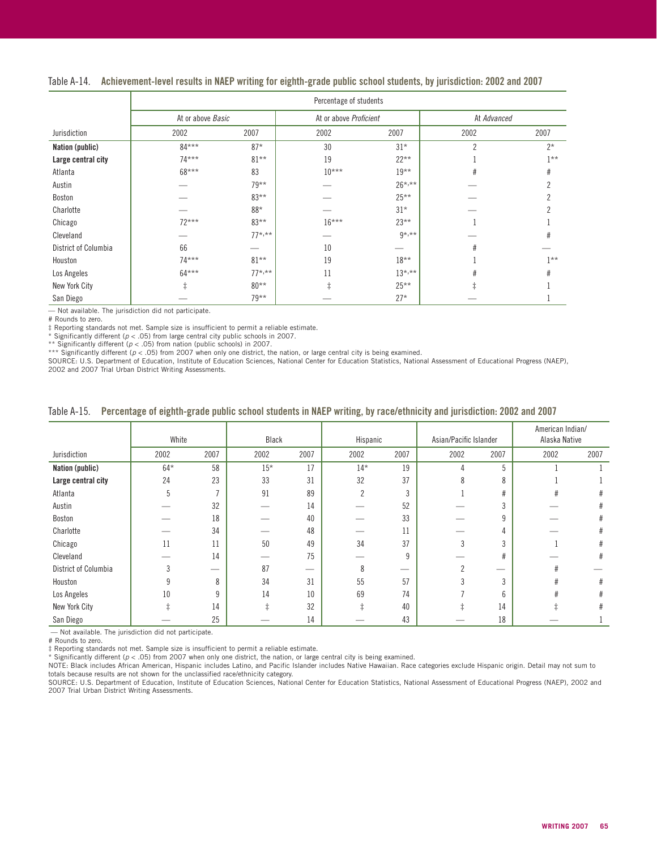|  |  |  | Table A-14. Achievement-level results in NAEP writing for eighth-grade public school students, by jurisdiction: 2002 and 2007 |
|--|--|--|-------------------------------------------------------------------------------------------------------------------------------|
|--|--|--|-------------------------------------------------------------------------------------------------------------------------------|

|                      |                   | Percentage of students |                        |             |                |        |  |  |  |  |  |
|----------------------|-------------------|------------------------|------------------------|-------------|----------------|--------|--|--|--|--|--|
|                      | At or above Basic |                        | At or above Proficient |             | At Advanced    |        |  |  |  |  |  |
| Jurisdiction         | 2002              | 2007                   | 2002                   | 2007        | 2002           | 2007   |  |  |  |  |  |
| Nation (public)      | $84***$           | $87*$                  | 30                     | $31*$       | $\overline{2}$ | $2*$   |  |  |  |  |  |
| Large central city   | $74***$           | $81***$                | 19                     | $22***$     |                | $1***$ |  |  |  |  |  |
| Atlanta              | 68***             | 83                     | $10***$                | $19***$     | #              | #      |  |  |  |  |  |
| Austin               |                   | $79***$                |                        | $26^{*,**}$ |                | n      |  |  |  |  |  |
| Boston               |                   | $83***$                |                        | $25***$     |                |        |  |  |  |  |  |
| Charlotte            |                   | 88*                    |                        | $31*$       |                |        |  |  |  |  |  |
| Chicago              | $72***$           | $83***$                | $16***$                | $23**$      |                |        |  |  |  |  |  |
| Cleveland            |                   | $77^{*,**}$            |                        | $9*, **$    |                | #      |  |  |  |  |  |
| District of Columbia | 66                |                        | 10                     |             | #              |        |  |  |  |  |  |
| Houston              | $74***$           | $81***$                | 19                     | $18***$     |                | $1**$  |  |  |  |  |  |
| Los Angeles          | $64***$           | $77^{*,**}$            | 11                     | $13^{*,**}$ | #              | #      |  |  |  |  |  |
| New York City        | ‡.                | $80**$                 |                        | $25***$     |                |        |  |  |  |  |  |
| San Diego            |                   | $79***$                |                        | $27*$       |                |        |  |  |  |  |  |

— Not available. The jurisdiction did not participate. # Rounds to zero.

‡ Reporting standards not met. Sample size is insufficient to permit a reliable estimate.

\* Significantly different (p < .05) from large central city public schools in 2007.<br>\*\* Significantly different (p < .05) from nation (public schools) in 2007.<br>\*\*\* Significantly different (p < .05) from 2007 when only one d

2002 and 2007 Trial Urban District Writing Assessments.

|  |  |  |  |  |  | Table A-15. Percentage of eighth-grade public school students in NAEP writing, by race/ethnicity and jurisdiction: 2002 and 2007 |
|--|--|--|--|--|--|----------------------------------------------------------------------------------------------------------------------------------|
|--|--|--|--|--|--|----------------------------------------------------------------------------------------------------------------------------------|

|                      | White |                | Black |      | Hispanic       |      | Asian/Pacific Islander |               | American Indian/<br>Alaska Native |      |
|----------------------|-------|----------------|-------|------|----------------|------|------------------------|---------------|-----------------------------------|------|
| Jurisdiction         | 2002  | 2007           | 2002  | 2007 | 2002           | 2007 | 2002                   | 2007          | 2002                              | 2007 |
| Nation (public)      | $64*$ | 58             | $15*$ | 17   | $14*$          | 19   |                        | 5             |                                   |      |
| Large central city   | 24    | 23             | 33    | 31   | 32             | 37   | 8                      | 8             |                                   |      |
| Atlanta              | 5     | $\overline{ }$ | 91    | 89   | $\overline{2}$ | 3    |                        | #             | #                                 | #    |
| Austin               |       | 32             |       | 14   |                | 52   |                        |               |                                   |      |
| Boston               |       | 18             |       | 40   |                | 33   |                        | $\Omega$      |                                   | #    |
| Charlotte            |       | 34             |       | 48   |                | 11   |                        |               |                                   |      |
| Chicago              | 11    | 11             | 50    | 49   | 34             | 37   |                        | $\Omega$      |                                   | #    |
| Cleveland            |       | 14             |       | 75   |                | 9    |                        | #             |                                   | #    |
| District of Columbia |       |                | 87    | —    | 8              |      |                        |               | #                                 |      |
| Houston              | 9     | 8              | 34    | 31   | 55             | 57   |                        | 3             | #                                 | #    |
| Los Angeles          | 10    | 9              | 14    | 10   | 69             | 74   |                        | $\mathfrak b$ | #                                 | #    |
| New York City        |       | 14             |       | 32   |                | 40   |                        | 14            |                                   | #    |
| San Diego            |       | 25             |       | 14   |                | 43   |                        | 18            |                                   |      |

— Not available. The jurisdiction did not participate.

# Rounds to zero.

‡ Reporting standards not met. Sample size is insufficient to permit a reliable estimate.

\* Significantly different (p < .05) from 2007 when only one district, the nation, or large central city is being examined.<br>NOTE: Black includes African American, Hispanic includes Latino, and Pacific Islander includes Nati totals because results are not shown for the unclassified race/ethnicity category.

SOURCE: U.S. Department of Education, Institute of Education Sciences, National Center for Education Statistics, National Assessment of Educational Progress (NAEP), 2002 and 2007 Trial Urban District Writing Assessments.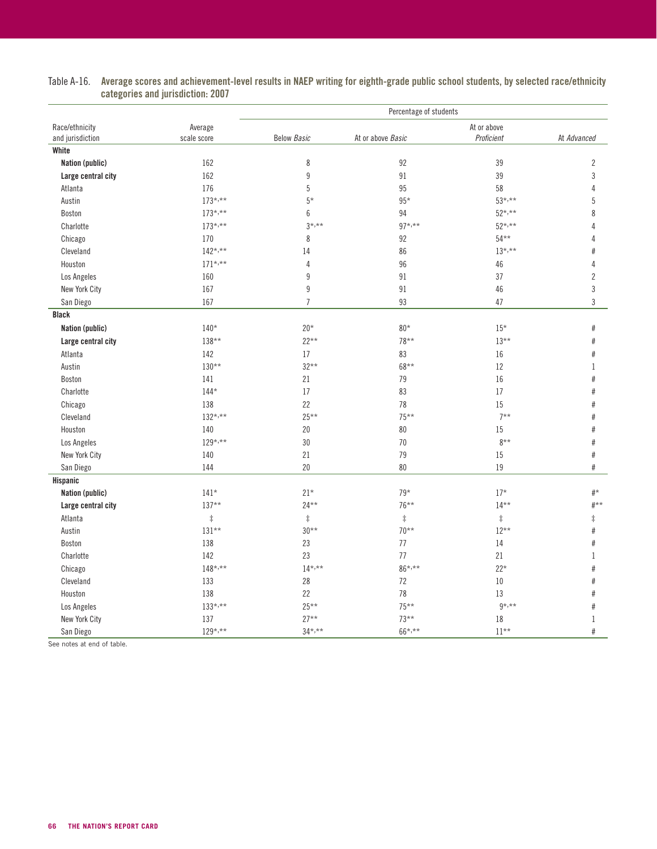|                    |              |                    | Percentage of students |             |                |
|--------------------|--------------|--------------------|------------------------|-------------|----------------|
| Race/ethnicity     | Average      |                    |                        | At or above |                |
| and jurisdiction   | scale score  | <b>Below Basic</b> | At or above Basic      | Proficient  | At Advanced    |
| White              |              |                    |                        |             |                |
| Nation (public)    | 162          | $\,8\,$            | 92                     | 39          | $\overline{2}$ |
| Large central city | 162          | $\boldsymbol{9}$   | 91                     | 39          | $\sqrt{3}$     |
| Atlanta            | 176          | $\sqrt{5}$         | 95                     | 58          | $\overline{4}$ |
| Austin             | $173^{*,**}$ | $5*$               | $95*$                  | $53^{*,**}$ | 5              |
| Boston             | $173^{*,**}$ | $6\,$              | 94                     | $52^{*,**}$ | 8              |
| Charlotte          | $173^{*,**}$ | $3^{*,**}$         | $97*,***$              | $52^{*,**}$ | 4              |
| Chicago            | 170          | 8                  | 92                     | $54***$     | 4              |
| Cleveland          | $142^{*,**}$ | 14                 | 86                     | $13^{*,**}$ | #              |
| Houston            | $171^{*,**}$ | $\sqrt{4}$         | 96                     | $46\,$      | 4              |
| Los Angeles        | 160          | $\boldsymbol{9}$   | 91                     | 37          | $\overline{2}$ |
| New York City      | 167          | $9\,$              | 91                     | 46          | $\sqrt{3}$     |
| San Diego          | 167          | $\overline{7}$     | 93                     | 47          | $\mathfrak{Z}$ |
| <b>Black</b>       |              |                    |                        |             |                |
| Nation (public)    | $140*$       | $20*$              | $80*$                  | $15*$       | $\#$           |
| Large central city | $138**$      | $22**$             | $78***$                | $13***$     | $\#$           |
| Atlanta            | 142          | 17                 | 83                     | 16          | #              |
| Austin             | $130**$      | $32**$             | 68**                   | 12          | 1              |
| Boston             | 141          | 21                 | 79                     | 16          | #              |
| Charlotte          | $144*$       | 17                 | 83                     | 17          | #              |
| Chicago            | 138          | 22                 | 78                     | 15          | $\#$           |
| Cleveland          | $132^{*,**}$ | $25***$            | $75***$                | $7***$      | $\#$           |
| Houston            | 140          | $20\,$             | $80\,$                 | 15          | $\#$           |
| Los Angeles        | $129^{*,**}$ | $30\,$             | 70                     | $8**$       | $\#$           |
| New York City      | 140          | 21                 | 79                     | 15          | $\#$           |
| San Diego          | 144          | 20                 | 80                     | 19          | #              |
| Hispanic           |              |                    |                        |             |                |
| Nation (public)    | $141*$       | $21*$              | $79*$                  | $17*$       | $\#^{\star}$   |
| Large central city | $137**$      | $24***$            | $76***$                | $14**$      | $#***$         |
| Atlanta            | $\ddagger$   | $\ddagger$         | $\ddagger$             | $\ddagger$  | $\ddagger$     |
| Austin             | $131**$      | $30***$            | $70***$                | $12***$     | $\#$           |
| Boston             | 138          | 23                 | 77                     | $14\,$      | #              |
| Charlotte          | 142          | 23                 | 77                     | 21          | $\mathbf{1}$   |
| Chicago            | $148^{*,**}$ | $14^{*,**}$        | $86^{*,**}$            | $22*$       | #              |
| Cleveland          | 133          | 28                 | $72\,$                 | $10\,$      | $\#$           |
| Houston            | 138          | 22                 | 78                     | 13          | #              |
|                    | $133^{*,**}$ | $25***$            | $75***$                | $9*, **$    | $\#$           |
| Los Angeles        | 137          | $27**$             | $73***$                | $18\,$      |                |
| New York City      |              |                    |                        |             | $\mathbf{1}$   |
| San Diego          | $129^{*,**}$ | $34^{*,**}$        | $66^{*,**}$            | $11***$     | #              |

#### Table A-16. Average scores and achievement-level results in NAEP writing for eighth-grade public school students, by selected race/ethnicity categories and jurisdiction: 2007

See notes at end of table.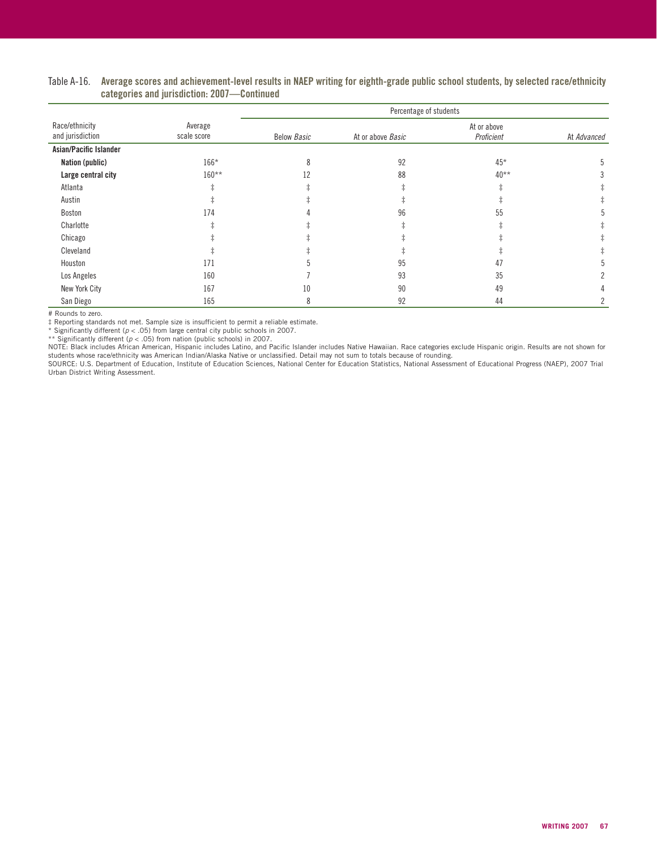|                                    |                        | Percentage of students |                   |                           |             |  |  |  |  |  |
|------------------------------------|------------------------|------------------------|-------------------|---------------------------|-------------|--|--|--|--|--|
| Race/ethnicity<br>and jurisdiction | Average<br>scale score | <b>Below Basic</b>     | At or above Basic | At or above<br>Proficient | At Advanced |  |  |  |  |  |
| Asian/Pacific Islander             |                        |                        |                   |                           |             |  |  |  |  |  |
| Nation (public)                    | $166*$                 | ጸ                      | 92                | $45*$                     |             |  |  |  |  |  |
| Large central city                 | $160**$                | 12                     | 88                | $40**$                    |             |  |  |  |  |  |
| Atlanta                            |                        |                        |                   |                           |             |  |  |  |  |  |
| Austin                             |                        |                        |                   |                           |             |  |  |  |  |  |
| Boston                             | 174                    |                        | 96                | 55                        |             |  |  |  |  |  |
| Charlotte                          |                        |                        |                   |                           |             |  |  |  |  |  |
| Chicago                            |                        |                        |                   |                           |             |  |  |  |  |  |
| Cleveland                          |                        |                        |                   |                           |             |  |  |  |  |  |
| Houston                            | 171                    |                        | 95                | 47                        |             |  |  |  |  |  |
| Los Angeles                        | 160                    |                        | 93                | 35                        |             |  |  |  |  |  |
| New York City                      | 167                    | 10                     | 90                | 49                        |             |  |  |  |  |  |
| San Diego                          | 165                    | 8                      | 92                | 44                        |             |  |  |  |  |  |

#### Table A-16. Average scores and achievement-level results in NAEP writing for eighth-grade public school students, by selected race/ethnicity categories and jurisdiction: 2007—Continued

# Rounds to zero.

‡ Reporting standards not met. Sample size is insufficient to permit a reliable estimate. \* Significantly different (p < .05) from large central city public schools in 2007.

\*\* Significantly different (p < .05) from nation (public schools) in 2007.<br>NOTE: Black includes African American, Hispanic includes Latino, and Pacific Islander includes Native Hawaiian. Race categories exclude Hispanic or students whose race/ethnicity was American Indian/Alaska Native or unclassified. Detail may not sum to totals because of rounding.

SOURCE: U.S. Department of Education, Institute of Education Sciences, National Center for Education Statistics, National Assessment of Educational Progress (NAEP), 2007 Trial Urban District Writing Assessment.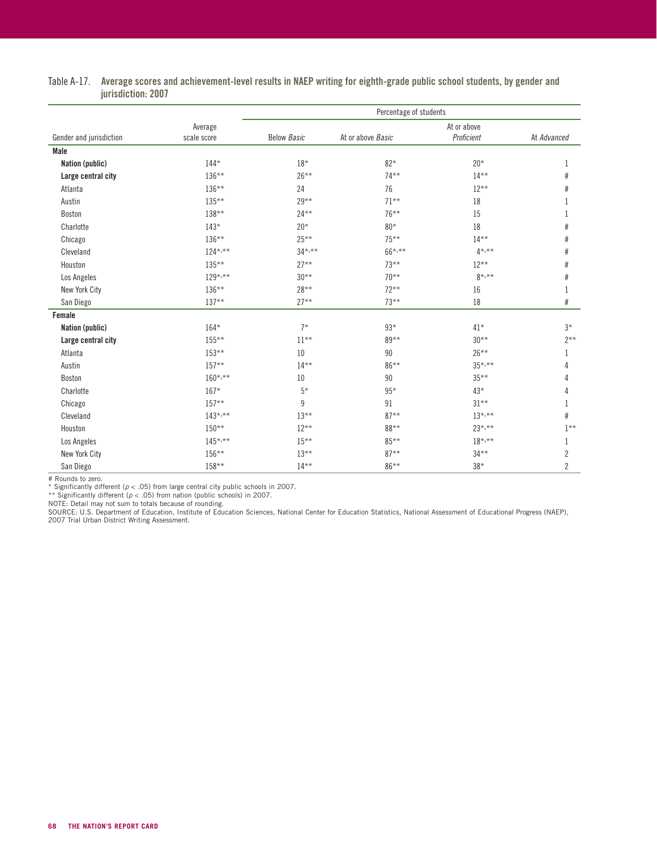| Table A-17.    Average scores and achievement-level results in NAEP writing for eighth-grade public school students, by gender and |  |
|------------------------------------------------------------------------------------------------------------------------------------|--|
| jurisdiction: 2007                                                                                                                 |  |

|                         |                        | Percentage of students |                   |                           |                |
|-------------------------|------------------------|------------------------|-------------------|---------------------------|----------------|
| Gender and jurisdiction | Average<br>scale score | <b>Below Basic</b>     | At or above Basic | At or above<br>Proficient | At Advanced    |
| Male                    |                        |                        |                   |                           |                |
| Nation (public)         | $144*$                 | $18*$                  | $82*$             | $20*$                     | 1              |
| Large central city      | 136**                  | $26***$                | $74***$           | $14***$                   | $\#$           |
| Atlanta                 | $136***$               | 24                     | 76                | $12***$                   | #              |
| Austin                  | $135***$               | $29***$                | $71***$           | 18                        | 1              |
| Boston                  | 138**                  | $24***$                | $76***$           | 15                        | 1              |
| Charlotte               | $143*$                 | $20*$                  | $80*$             | 18                        | #              |
| Chicago                 | $136***$               | $25***$                | $75***$           | $14***$                   | #              |
| Cleveland               | $124$ *,**             | $34^{*,**}$            | $66^{*,**}$       | $4^{*,**}$                | $\#$           |
| Houston                 | $135***$               | $27**$                 | $73***$           | $12***$                   | $\#$           |
| Los Angeles             | $129^{*,**}$           | $30***$                | $70***$           | $8*, **$                  | $\#$           |
| New York City           | $136***$               | $28***$                | $72***$           | 16                        | 1              |
| San Diego               | $137**$                | $27**$                 | $73***$           | 18                        | $\#$           |
| Female                  |                        |                        |                   |                           |                |
| Nation (public)         | $164*$                 | $7*$                   | $93*$             | $41*$                     | $3*$           |
| Large central city      | 155**                  | $11***$                | $89***$           | $30**$                    | $2***$         |
| Atlanta                 | $153**$                | 10                     | 90                | $26***$                   | -1             |
| Austin                  | $157**$                | $14***$                | $86***$           | $35^{*,**}$               | 4              |
| Boston                  | $160^{*,**}$           | 10                     | 90                | $35***$                   | 4              |
| Charlotte               | $167*$                 | $5*$                   | $95*$             | $43*$                     | 4              |
| Chicago                 | $157**$                | 9                      | 91                | $31***$                   |                |
| Cleveland               | $143^{*,**}$           | $13***$                | $87**$            | $13^{*,**}$               | #              |
| Houston                 | $150**$                | $12***$                | 88**              | $23^{*,**}$               | $1***$         |
| Los Angeles             | $145^{*,**}$           | $15***$                | 85**              | $18^{*,**}$               | 1              |
| New York City           | 156**                  | $13***$                | $87**$            | $34***$                   | $\overline{2}$ |
| San Diego               | 158**                  | $14***$                | 86**              | $38*$                     | $\overline{2}$ |

# Rounds to zero.<br>\* Significantly different (p < .05) from large central city public schools in 2007.<br>\*\* Significantly different (p < .05) from nation (public schools) in 2007.<br>NOTE: Detail may not sum to totals because of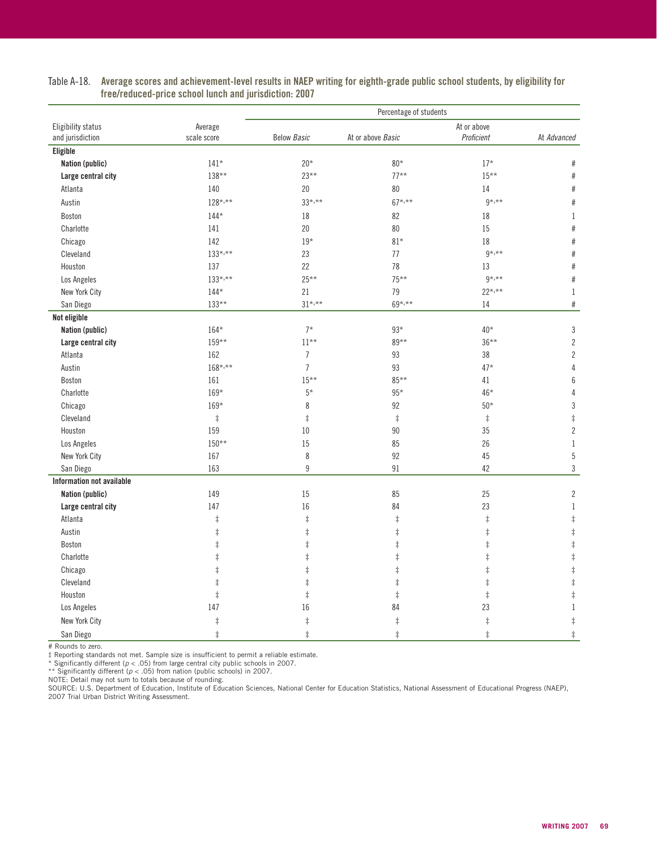|                           |              | Percentage of students |                   |             |                  |
|---------------------------|--------------|------------------------|-------------------|-------------|------------------|
| Eligibility status        | Average      |                        |                   | At or above |                  |
| and jurisdiction          | scale score  | <b>Below Basic</b>     | At or above Basic | Proficient  | At Advanced      |
| Eligible                  |              |                        |                   |             |                  |
| Nation (public)           | $141*$       | $20*$                  | $80*$             | $17*$       | $\#$             |
| Large central city        | $138**$      | $23***$                | $77***$           | $15***$     | $\#$             |
| Atlanta                   | 140          | 20                     | 80                | 14          | $\#$             |
| Austin                    | $128^{*,**}$ | $33^{*,**}$            | $67*,***$         | $9*,***$    | $\#$             |
| Boston                    | $144*$       | 18                     | 82                | 18          | $\mathbf{1}$     |
| Charlotte                 | 141          | 20                     | 80                | 15          | $\#$             |
| Chicago                   | 142          | $19*$                  | $81*$             | 18          | $\#$             |
| Cleveland                 | $133^{*,**}$ | 23                     | 77                | $9*, **$    | $\#$             |
| Houston                   | 137          | 22                     | 78                | 13          | $\#$             |
| Los Angeles               | $133^{*,**}$ | $25***$                | $75***$           | $9*, **$    | $\#$             |
| New York City             | $144*$       | 21                     | 79                | $22^{*,**}$ | $\,1$            |
| San Diego                 | $133**$      | $31^{*,**}$            | $69^{*,**}$       | 14          | $\#$             |
| Not eligible              |              |                        |                   |             |                  |
| Nation (public)           | $164*$       | $7*$                   | $93*$             | $40*$       | $\sqrt{3}$       |
| Large central city        | $159**$      | $11***$                | 89**              | $36***$     | $\sqrt{2}$       |
| Atlanta                   | 162          | $\overline{7}$         | 93                | 38          | $\sqrt{2}$       |
| Austin                    | $168^{*,**}$ | $\overline{7}$         | 93                | $47*$       | $\overline{4}$   |
| Boston                    | 161          | $15***$                | $85***$           | 41          | $\boldsymbol{6}$ |
| Charlotte                 | 169*         | $5*$                   | $95*$             | 46*         | $\overline{4}$   |
| Chicago                   | $169*$       | 8                      | 92                | $50*$       | $\overline{3}$   |
| Cleveland                 | $\ddagger$   | $\ddagger$             | $\ddagger$        | $\ddagger$  | $\ddagger$       |
| Houston                   | 159          | 10                     | 90                | 35          | $\sqrt{2}$       |
| Los Angeles               | $150**$      | 15                     | 85                | 26          | $1\,$            |
| New York City             | 167          | 8                      | 92                | 45          | $\overline{5}$   |
| San Diego                 | 163          | $\boldsymbol{9}$       | 91                | 42          | $\sqrt{3}$       |
| Information not available |              |                        |                   |             |                  |
| Nation (public)           | 149          | 15                     | 85                | 25          | $\sqrt{2}$       |
| Large central city        | 147          | 16                     | 84                | 23          | $\,1$            |
| Atlanta                   | $\ddagger$   | $\ddagger$             | $\ddagger$        | $\ddagger$  | $\ddagger$       |
| Austin                    | $\ddagger$   | $\ddagger$             | $\ddagger$        | $\ddagger$  | $\ddagger$       |
| Boston                    | $\ddagger$   | $\ddagger$             | $\ddagger$        | $\ddagger$  | $\ddagger$       |
| Charlotte                 | $\ddagger$   | $\ddagger$             | $\ddagger$        | $\ddagger$  | $\ddagger$       |
| Chicago                   | $\ddagger$   | $\ddagger$             | $\ddagger$        | $\ddagger$  | $\ddagger$       |
| Cleveland                 | $\ddagger$   | $\ddagger$             | $\ddagger$        | $\ddagger$  | $\ddagger$       |
| Houston                   | $\ddagger$   | $\ddagger$             | $\ddagger$        | $\ddagger$  | $\ddagger$       |
| Los Angeles               | 147          | 16                     | 84                | 23          | $\,1\,$          |
| New York City             | $\ddagger$   | $\ddagger$             | $\ddagger$        | $\ddagger$  | $\ddagger$       |
| San Diego                 | $\ddagger$   | $\ddagger$             | $\ddagger$        | $\ddagger$  | $\ddagger$       |

#### Table A-18. Average scores and achievement-level results in NAEP writing for eighth-grade public school students, by eligibility for free/reduced-price school lunch and jurisdiction: 2007

# Rounds to zero.

‡ Reporting standards not met. Sample size is insufficient to permit a reliable estimate.<br>\* Significantly different (ρ < .05) from large central city public schools in 2007.<br>\*\* Significantly different (ρ < .05) from nation

NOTE: Detail may not sum to totals because of rounding.<br>SOURCE: U.S. Department of Education, Institute of Education Sciences, National Center for Education Statistics, National Assessment of Educational Progress (NAEP), 2007 Trial Urban District Writing Assessment.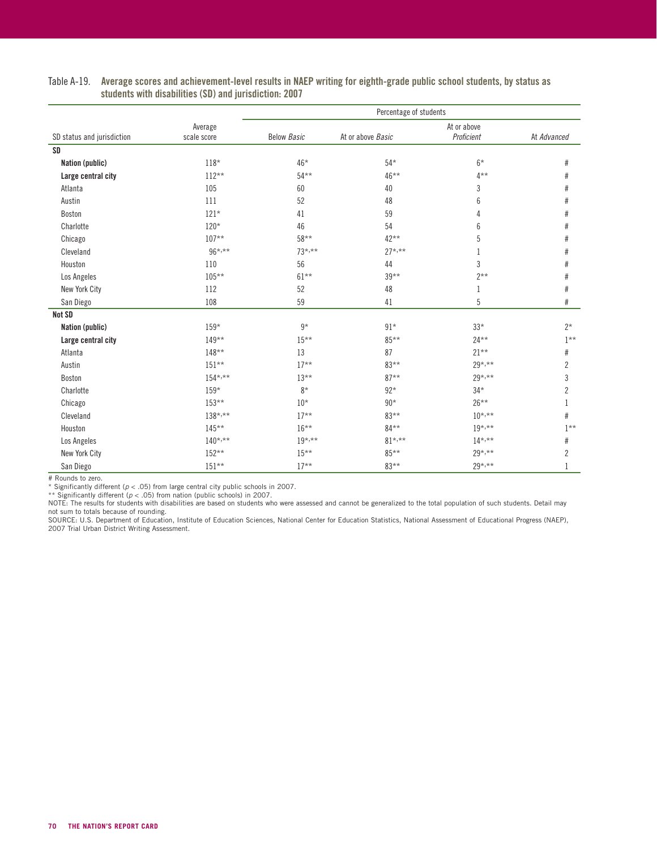|                            |                        |                    | Percentage of students |                           |                |  |
|----------------------------|------------------------|--------------------|------------------------|---------------------------|----------------|--|
| SD status and jurisdiction | Average<br>scale score | <b>Below Basic</b> | At or above Basic      | At or above<br>Proficient | At Advanced    |  |
| <b>SD</b>                  |                        |                    |                        |                           |                |  |
| Nation (public)            | $118*$                 | $46*$              | $54*$                  | $6*$                      | $\#$           |  |
| Large central city         | $112**$                | $54***$            | 46**                   | $4***$                    | $\#$           |  |
| Atlanta                    | 105                    | 60                 | 40                     | 3                         | #              |  |
| Austin                     | 111                    | 52                 | 48                     | 6                         | $\#$           |  |
| Boston                     | $121*$                 | 41                 | 59                     | 4                         | $\#$           |  |
| Charlotte                  | $120*$                 | 46                 | 54                     | 6                         | $\#$           |  |
| Chicago                    | $107**$                | $58***$            | $42***$                | 5                         | $\#$           |  |
| Cleveland                  | $96^{*,**}$            | $73^{*,**}$        | $27^{*,**}$            |                           | $\#$           |  |
| Houston                    | 110                    | 56                 | 44                     | 3                         | $\#$           |  |
| Los Angeles                | $105**$                | $61***$            | $39***$                | $2**$                     | $\#$           |  |
| New York City              | 112                    | 52                 | 48                     | 1                         | $\#$           |  |
| San Diego                  | 108                    | 59                 | 41                     | 5                         | $\#$           |  |
| Not SD                     |                        |                    |                        |                           |                |  |
| Nation (public)            | $159*$                 | $9*$               | $91*$                  | $33*$                     | $2*$           |  |
| Large central city         | $149**$                | $15***$            | 85**                   | $24***$                   | $1***$         |  |
| Atlanta                    | $148**$                | 13                 | 87                     | $21**$                    | $\#$           |  |
| Austin                     | $151**$                | $17**$             | $83***$                | $29^{*,**}$               | $\overline{2}$ |  |
| Boston                     | $154^{*,**}$           | $13***$            | $87**$                 | $29^{*,**}$               | 3              |  |
| Charlotte                  | 159*                   | $8*$               | $92*$                  | $34*$                     | $\overline{2}$ |  |
| Chicago                    | $153**$                | $10*$              | $90*$                  | $26***$                   | $\mathbf{1}$   |  |
| Cleveland                  | $138^{*,**}$           | $17***$            | 83**                   | $10^{*,**}$               | #              |  |
| Houston                    | $145***$               | $16***$            | 84**                   | $19^{*,**}$               | $1***$         |  |
| Los Angeles                | $140^{*,**}$           | $19^{*,**}$        | $81^{*,**}$            | $14^{*,**}$               | $\#$           |  |
| New York City              | $152**$                | $15***$            | $85***$                | $29^{*,**}$               | $\overline{c}$ |  |
| San Diego                  | $151**$                | $17**$             | 83**                   | $29^{*,**}$               |                |  |

#### Table A-19. Average scores and achievement-level results in NAEP writing for eighth-grade public school students, by status as students with disabilities (SD) and jurisdiction: 2007

# Rounds to zero. \* Significantly different (p < .05) from large central city public schools in 2007.

\*\* Significantly different ( $p < .05$ ) from nation (public schools) in 2007.

NOTE: The results for students with disabilities are based on students who were assessed and cannot be generalized to the total population of such students. Detail may not sum to totals because of rounding.<br>SOURCE: U.S. Department of Education, Institute of Education Sciences, National Center for Education Statistics, National Assessment of Educational Progress (NAEP),

2007 Trial Urban District Writing Assessment.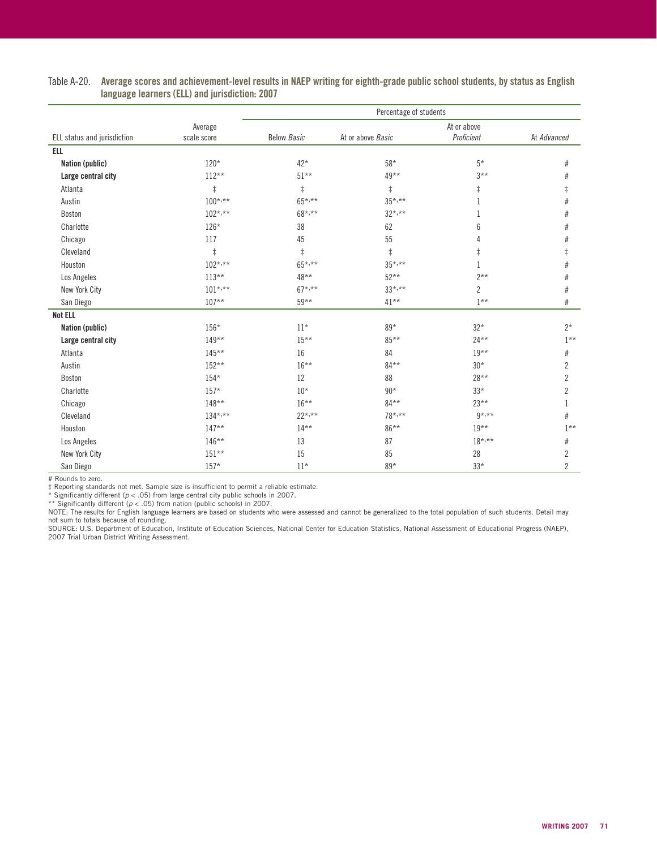|                             |                        | Percentage of students |                   |                           |                |
|-----------------------------|------------------------|------------------------|-------------------|---------------------------|----------------|
| ELL status and jurisdiction | Average<br>scale score | <b>Below Basic</b>     | At or above Basic | At or above<br>Proficient | At Advanced    |
| <b>ELL</b>                  |                        |                        |                   |                           |                |
| Nation (public)             | $120*$                 | $42*$                  | $58*$             | $5*$                      | #              |
| Large central city          | $112**$                | $51***$                | $49***$           | $3***$                    | #              |
| Atlanta                     | $\ddagger$             | $\ddagger$             | $\ddagger$        | $\ddagger$                | $\ddagger$     |
| Austin                      | $100^{*,**}$           | $65^{*,**}$            | $35^{*,**}$       | $\mathbf{1}$              | $\#$           |
| Boston                      | $102^{*,**}$           | $68*, **$              | $32^{*,**}$       | 1                         | #              |
| Charlotte                   | $126*$                 | 38                     | 62                | 6                         | #              |
| Chicago                     | 117                    | 45                     | 55                | 4                         | $\#$           |
| Cleveland                   | $\ddagger$             | $\ddagger$             | $\ddagger$        | $\ddagger$                | $\ddagger$     |
| Houston                     | $102^{*,**}$           | $65^{*,**}$            | $35^{*,**}$       | 1                         | $\#$           |
| Los Angeles                 | $113**$                | 48**                   | $52***$           | $2**$                     | #              |
| New York City               | $101^{*,**}$           | $67^{\star,**}$        | $33^{*,**}$       | $\overline{c}$            | $\#$           |
| San Diego                   | $107**$                | $59***$                | $41***$           | $1***$                    | #              |
| <b>Not ELL</b>              |                        |                        |                   |                           |                |
| Nation (public)             | 156*                   | $11*$                  | 89*               | $32*$                     | $2*$           |
| Large central city          | $149**$                | $15***$                | $85***$           | $24***$                   | $1**$          |
| Atlanta                     | $145**$                | 16                     | 84                | $19***$                   | $\#$           |
| Austin                      | $152**$                | $16***$                | $84***$           | $30*$                     | $\overline{2}$ |
| Boston                      | $154*$                 | 12                     | 88                | $28**$                    | $\overline{c}$ |
| Charlotte                   | $157*$                 | $10*$                  | $90*$             | $33*$                     | $\overline{c}$ |
| Chicago                     | $148**$                | $16***$                | 84**              | $23***$                   | 1              |
| Cleveland                   | $134^{*,**}$           | $22^{*,**}$            | $78^{*,**}$       | $9*, **$                  | #              |
| Houston                     | $147**$                | $14***$                | 86**              | $19***$                   | $1**$          |
| Los Angeles                 | $146**$                | 13                     | 87                | $18^{*,**}$               | #              |
| New York City               | $151**$                | 15                     | 85                | 28                        | $\overline{c}$ |
| San Diego                   | $157*$                 | $11*$                  | 89*               | $33*$                     | $\overline{c}$ |

#### Table A-20. Average scores and achievement-level results in NAEP writing for eighth-grade public school students, by status as English language learners (ELL) and jurisdiction: 2007

# Rounds to zero.

‡ Reporting standards not met. Sample size is insufficient to permit a reliable estimate.

\* Significantly different ( $p < .05$ ) from large central city public schools in 2007.

\*\* Significantly different (p < .05) from nation (public schools) in 2007.<br>NOTE: The results for English language learners are based on students who were assessed and cannot be generalized to the total population of such s not sum to totals because of rounding.

SOURCE: U.S. Department of Education, Institute of Education Sciences, National Center for Education Statistics, National Assessment of Educational Progress (NAEP),<br>2007 Trial Urban District Writing Assessment.